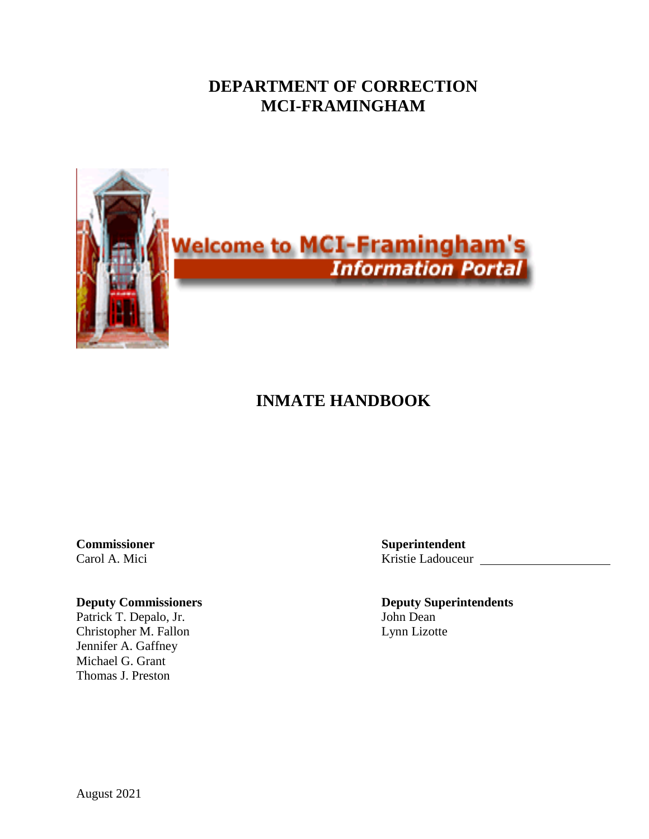## **DEPARTMENT OF CORRECTION MCI-FRAMINGHAM**



# **INMATE HANDBOOK**

Patrick T. Depalo, Jr. John Dean Christopher M. Fallon Lynn Lizotte Jennifer A. Gaffney Michael G. Grant Thomas J. Preston

**Commissioner Superintendent** Carol A. Mici Kristie Ladouceur

**Deputy Commissioners Deputy Superintendents**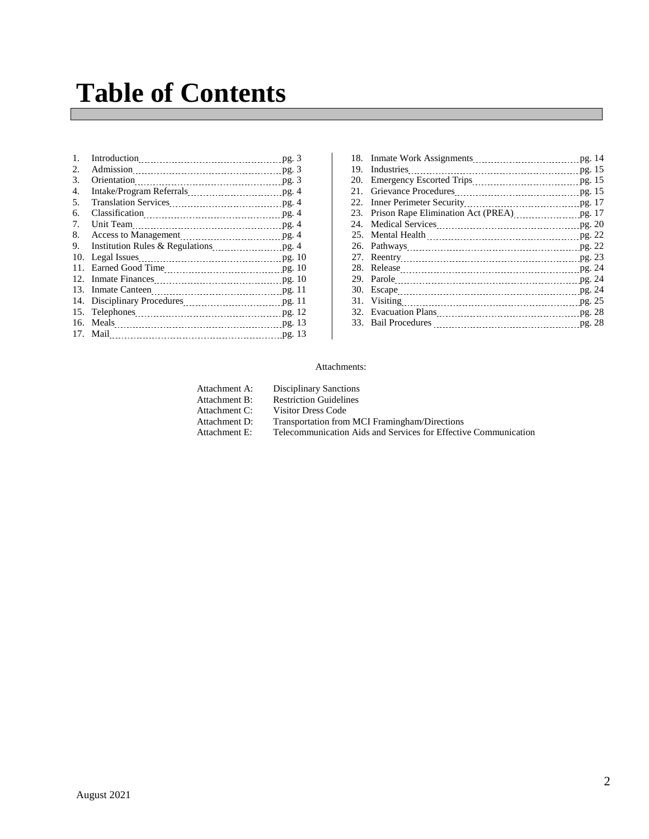# **Table of Contents**

| 1.  | Introduction pg. 3 |  |
|-----|--------------------|--|
| 2.  |                    |  |
| 3.  |                    |  |
| 4.  |                    |  |
| .5. |                    |  |
| 6.  |                    |  |
| 7.  |                    |  |
| 8.  |                    |  |
| 9.  |                    |  |
| 10. |                    |  |
| 11. |                    |  |
| 12. |                    |  |
| 13. |                    |  |
|     |                    |  |
| 15. |                    |  |
|     |                    |  |
|     |                    |  |
|     |                    |  |

| 23. Prison Rape Elimination Act (PREA) 23. Prison Rape Elimination Act (PREA) |  |
|-------------------------------------------------------------------------------|--|
|                                                                               |  |
|                                                                               |  |
|                                                                               |  |
|                                                                               |  |
|                                                                               |  |
|                                                                               |  |
|                                                                               |  |
|                                                                               |  |
|                                                                               |  |
|                                                                               |  |
|                                                                               |  |

#### Attachments:

| Attachment A: | <b>Disciplinary Sanctions</b>                                   |
|---------------|-----------------------------------------------------------------|
| Attachment B: | <b>Restriction Guidelines</b>                                   |
| Attachment C: | Visitor Dress Code                                              |
| Attachment D: | Transportation from MCI Framingham/Directions                   |
| Attachment E: | Telecommunication Aids and Services for Effective Communication |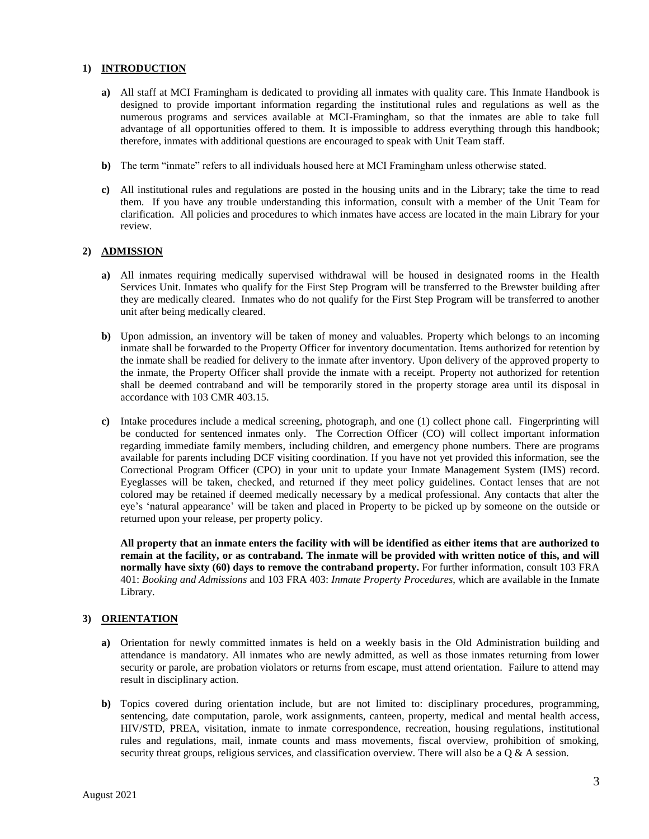#### **1) INTRODUCTION**

- **a)** All staff at MCI Framingham is dedicated to providing all inmates with quality care. This Inmate Handbook is designed to provide important information regarding the institutional rules and regulations as well as the numerous programs and services available at MCI-Framingham, so that the inmates are able to take full advantage of all opportunities offered to them. It is impossible to address everything through this handbook; therefore, inmates with additional questions are encouraged to speak with Unit Team staff.
- **b)** The term "inmate" refers to all individuals housed here at MCI Framingham unless otherwise stated.
- **c)** All institutional rules and regulations are posted in the housing units and in the Library; take the time to read them. If you have any trouble understanding this information, consult with a member of the Unit Team for clarification. All policies and procedures to which inmates have access are located in the main Library for your review.

#### **2) ADMISSION**

- **a)** All inmates requiring medically supervised withdrawal will be housed in designated rooms in the Health Services Unit. Inmates who qualify for the First Step Program will be transferred to the Brewster building after they are medically cleared. Inmates who do not qualify for the First Step Program will be transferred to another unit after being medically cleared.
- **b)** Upon admission, an inventory will be taken of money and valuables. Property which belongs to an incoming inmate shall be forwarded to the Property Officer for inventory documentation. Items authorized for retention by the inmate shall be readied for delivery to the inmate after inventory. Upon delivery of the approved property to the inmate, the Property Officer shall provide the inmate with a receipt. Property not authorized for retention shall be deemed contraband and will be temporarily stored in the property storage area until its disposal in accordance with 103 CMR 403.15.
- **c)** Intake procedures include a medical screening, photograph, and one (1) collect phone call. Fingerprinting will be conducted for sentenced inmates only. The Correction Officer (CO) will collect important information regarding immediate family members, including children, and emergency phone numbers. There are programs available for parents including DCF **v**isiting coordination. If you have not yet provided this information, see the Correctional Program Officer (CPO) in your unit to update your Inmate Management System (IMS) record. Eyeglasses will be taken, checked, and returned if they meet policy guidelines. Contact lenses that are not colored may be retained if deemed medically necessary by a medical professional. Any contacts that alter the eye's 'natural appearance' will be taken and placed in Property to be picked up by someone on the outside or returned upon your release, per property policy.

**All property that an inmate enters the facility with will be identified as either items that are authorized to remain at the facility, or as contraband. The inmate will be provided with written notice of this, and will normally have sixty (60) days to remove the contraband property.** For further information, consult 103 FRA 401: *Booking and Admissions* and 103 FRA 403: *Inmate Property Procedures*, which are available in the Inmate Library.

#### **3) ORIENTATION**

- **a)** Orientation for newly committed inmates is held on a weekly basis in the Old Administration building and attendance is mandatory. All inmates who are newly admitted, as well as those inmates returning from lower security or parole, are probation violators or returns from escape, must attend orientation. Failure to attend may result in disciplinary action.
- **b)** Topics covered during orientation include, but are not limited to: disciplinary procedures, programming, sentencing, date computation, parole, work assignments, canteen, property, medical and mental health access, HIV/STD, PREA, visitation, inmate to inmate correspondence, recreation, housing regulations, institutional rules and regulations, mail, inmate counts and mass movements, fiscal overview, prohibition of smoking, security threat groups, religious services, and classification overview. There will also be a Q & A session.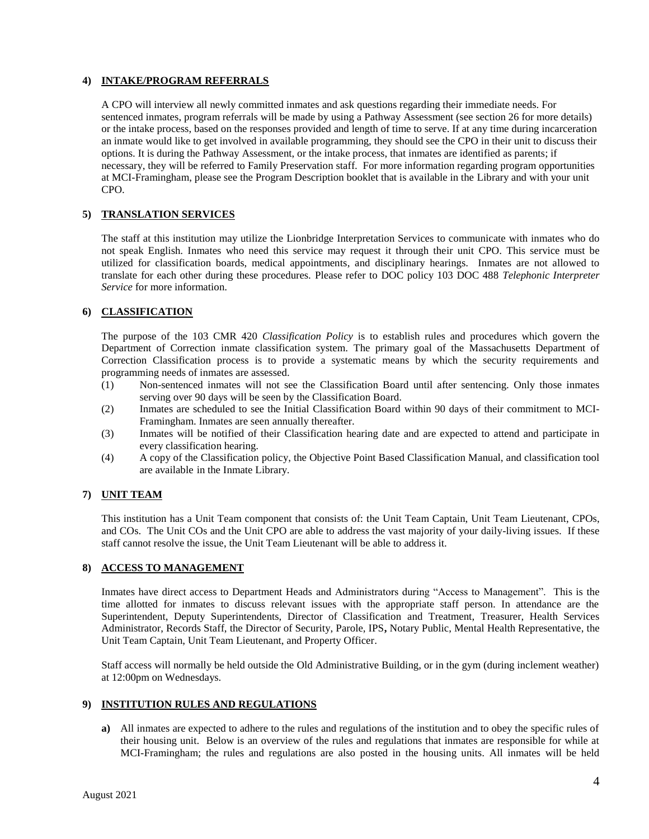#### **4) INTAKE/PROGRAM REFERRALS**

A CPO will interview all newly committed inmates and ask questions regarding their immediate needs. For sentenced inmates, program referrals will be made by using a Pathway Assessment (see section 26 for more details) or the intake process, based on the responses provided and length of time to serve. If at any time during incarceration an inmate would like to get involved in available programming, they should see the CPO in their unit to discuss their options. It is during the Pathway Assessment, or the intake process, that inmates are identified as parents; if necessary, they will be referred to Family Preservation staff. For more information regarding program opportunities at MCI-Framingham, please see the Program Description booklet that is available in the Library and with your unit CPO.

#### **5) TRANSLATION SERVICES**

The staff at this institution may utilize the Lionbridge Interpretation Services to communicate with inmates who do not speak English. Inmates who need this service may request it through their unit CPO. This service must be utilized for classification boards, medical appointments, and disciplinary hearings. Inmates are not allowed to translate for each other during these procedures. Please refer to DOC policy 103 DOC 488 *Telephonic Interpreter Service* for more information.

#### **6) CLASSIFICATION**

The purpose of the 103 CMR 420 *Classification Policy* is to establish rules and procedures which govern the Department of Correction inmate classification system. The primary goal of the Massachusetts Department of Correction Classification process is to provide a systematic means by which the security requirements and programming needs of inmates are assessed.

- (1) Non-sentenced inmates will not see the Classification Board until after sentencing. Only those inmates serving over 90 days will be seen by the Classification Board.
- (2) Inmates are scheduled to see the Initial Classification Board within 90 days of their commitment to MCI-Framingham. Inmates are seen annually thereafter.
- (3) Inmates will be notified of their Classification hearing date and are expected to attend and participate in every classification hearing.
- (4) A copy of the Classification policy, the Objective Point Based Classification Manual, and classification tool are available in the Inmate Library.

### **7) UNIT TEAM**

This institution has a Unit Team component that consists of: the Unit Team Captain, Unit Team Lieutenant, CPOs, and COs. The Unit COs and the Unit CPO are able to address the vast majority of your daily-living issues. If these staff cannot resolve the issue, the Unit Team Lieutenant will be able to address it.

#### **8) ACCESS TO MANAGEMENT**

Inmates have direct access to Department Heads and Administrators during "Access to Management". This is the time allotted for inmates to discuss relevant issues with the appropriate staff person. In attendance are the Superintendent, Deputy Superintendents, Director of Classification and Treatment, Treasurer, Health Services Administrator, Records Staff, the Director of Security, Parole, IPS**,** Notary Public, Mental Health Representative, the Unit Team Captain, Unit Team Lieutenant, and Property Officer.

Staff access will normally be held outside the Old Administrative Building, or in the gym (during inclement weather) at 12:00pm on Wednesdays.

#### **9) INSTITUTION RULES AND REGULATIONS**

**a)** All inmates are expected to adhere to the rules and regulations of the institution and to obey the specific rules of their housing unit. Below is an overview of the rules and regulations that inmates are responsible for while at MCI-Framingham; the rules and regulations are also posted in the housing units. All inmates will be held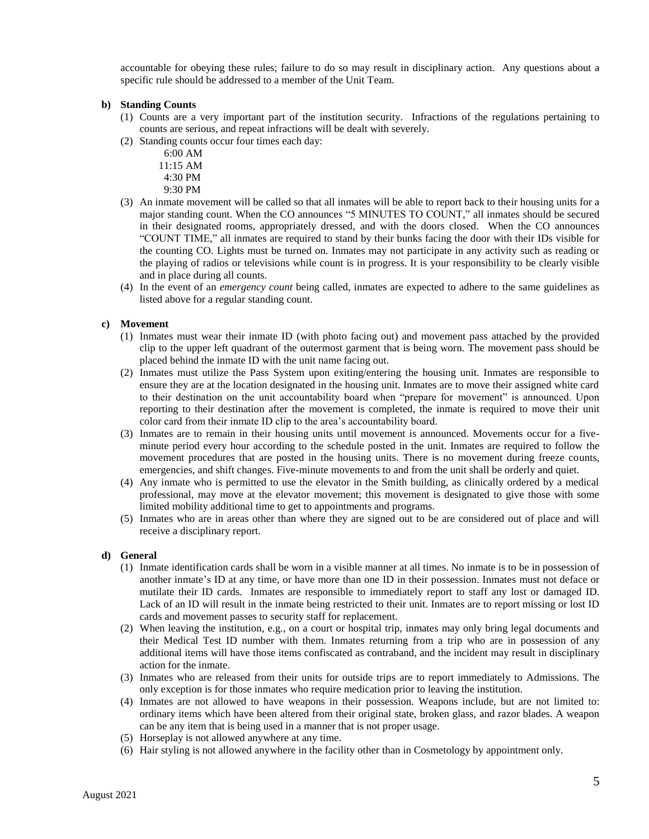accountable for obeying these rules; failure to do so may result in disciplinary action. Any questions about a specific rule should be addressed to a member of the Unit Team.

#### **b) Standing Counts**

- (1) Counts are a very important part of the institution security. Infractions of the regulations pertaining to counts are serious, and repeat infractions will be dealt with severely.
- (2) Standing counts occur four times each day:

 6:00 AM 11:15 AM 4:30 PM

9:30 PM

- (3) An inmate movement will be called so that all inmates will be able to report back to their housing units for a major standing count. When the CO announces "5 MINUTES TO COUNT," all inmates should be secured in their designated rooms, appropriately dressed, and with the doors closed. When the CO announces "COUNT TIME," all inmates are required to stand by their bunks facing the door with their IDs visible for the counting CO. Lights must be turned on. Inmates may not participate in any activity such as reading or the playing of radios or televisions while count is in progress. It is your responsibility to be clearly visible and in place during all counts.
- (4) In the event of an *emergency count* being called, inmates are expected to adhere to the same guidelines as listed above for a regular standing count.

#### **c) Movement**

- (1) Inmates must wear their inmate ID (with photo facing out) and movement pass attached by the provided clip to the upper left quadrant of the outermost garment that is being worn. The movement pass should be placed behind the inmate ID with the unit name facing out.
- (2) Inmates must utilize the Pass System upon exiting/entering the housing unit. Inmates are responsible to ensure they are at the location designated in the housing unit. Inmates are to move their assigned white card to their destination on the unit accountability board when "prepare for movement" is announced. Upon reporting to their destination after the movement is completed, the inmate is required to move their unit color card from their inmate ID clip to the area's accountability board.
- (3) Inmates are to remain in their housing units until movement is announced. Movements occur for a fiveminute period every hour according to the schedule posted in the unit. Inmates are required to follow the movement procedures that are posted in the housing units. There is no movement during freeze counts, emergencies, and shift changes. Five-minute movements to and from the unit shall be orderly and quiet.
- (4) Any inmate who is permitted to use the elevator in the Smith building, as clinically ordered by a medical professional, may move at the elevator movement; this movement is designated to give those with some limited mobility additional time to get to appointments and programs.
- (5) Inmates who are in areas other than where they are signed out to be are considered out of place and will receive a disciplinary report.

#### **d) General**

- (1) Inmate identification cards shall be worn in a visible manner at all times. No inmate is to be in possession of another inmate's ID at any time, or have more than one ID in their possession. Inmates must not deface or mutilate their ID cards. Inmates are responsible to immediately report to staff any lost or damaged ID. Lack of an ID will result in the inmate being restricted to their unit. Inmates are to report missing or lost ID cards and movement passes to security staff for replacement.
- (2) When leaving the institution, e.g., on a court or hospital trip, inmates may only bring legal documents and their Medical Test ID number with them. Inmates returning from a trip who are in possession of any additional items will have those items confiscated as contraband, and the incident may result in disciplinary action for the inmate.
- (3) Inmates who are released from their units for outside trips are to report immediately to Admissions. The only exception is for those inmates who require medication prior to leaving the institution.
- (4) Inmates are not allowed to have weapons in their possession. Weapons include, but are not limited to: ordinary items which have been altered from their original state, broken glass, and razor blades. A weapon can be any item that is being used in a manner that is not proper usage.
- (5) Horseplay is not allowed anywhere at any time.
- (6) Hair styling is not allowed anywhere in the facility other than in Cosmetology by appointment only.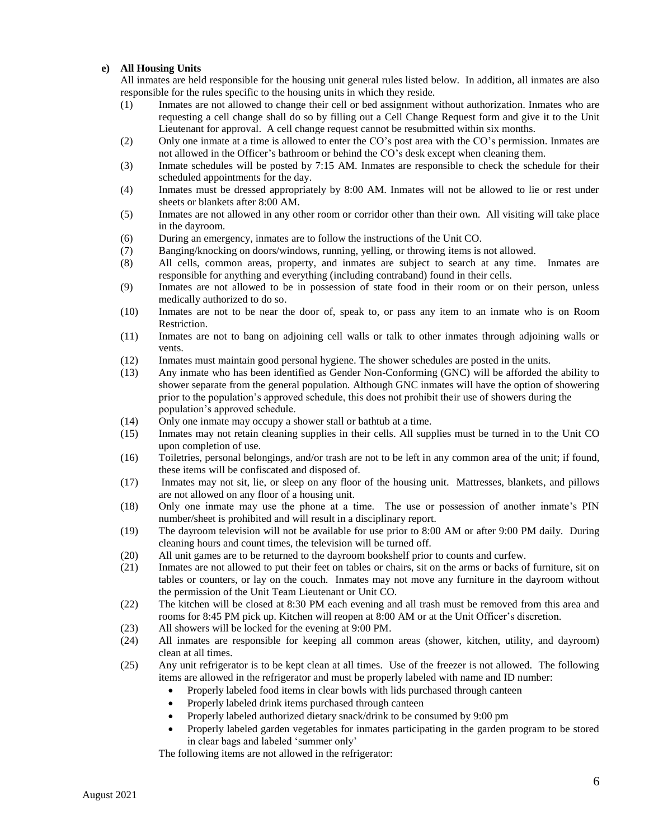#### **e) All Housing Units**

All inmates are held responsible for the housing unit general rules listed below. In addition, all inmates are also responsible for the rules specific to the housing units in which they reside.

- (1) Inmates are not allowed to change their cell or bed assignment without authorization. Inmates who are requesting a cell change shall do so by filling out a Cell Change Request form and give it to the Unit Lieutenant for approval. A cell change request cannot be resubmitted within six months.
- (2) Only one inmate at a time is allowed to enter the CO's post area with the CO's permission. Inmates are not allowed in the Officer's bathroom or behind the CO's desk except when cleaning them.
- (3) Inmate schedules will be posted by 7:15 AM. Inmates are responsible to check the schedule for their scheduled appointments for the day.
- (4) Inmates must be dressed appropriately by 8:00 AM. Inmates will not be allowed to lie or rest under sheets or blankets after 8:00 AM.
- (5) Inmates are not allowed in any other room or corridor other than their own. All visiting will take place in the dayroom.
- (6) During an emergency, inmates are to follow the instructions of the Unit CO.
- (7) Banging/knocking on doors/windows, running, yelling, or throwing items is not allowed.
- (8) All cells, common areas, property, and inmates are subject to search at any time. Inmates are responsible for anything and everything (including contraband) found in their cells.
- (9) Inmates are not allowed to be in possession of state food in their room or on their person, unless medically authorized to do so.
- (10) Inmates are not to be near the door of, speak to, or pass any item to an inmate who is on Room Restriction.
- (11) Inmates are not to bang on adjoining cell walls or talk to other inmates through adjoining walls or vents.
- (12) Inmates must maintain good personal hygiene. The shower schedules are posted in the units.
- (13) Any inmate who has been identified as Gender Non-Conforming (GNC) will be afforded the ability to shower separate from the general population. Although GNC inmates will have the option of showering prior to the population's approved schedule, this does not prohibit their use of showers during the population's approved schedule.
- (14) Only one inmate may occupy a shower stall or bathtub at a time.
- (15) Inmates may not retain cleaning supplies in their cells. All supplies must be turned in to the Unit CO upon completion of use.
- (16) Toiletries, personal belongings, and/or trash are not to be left in any common area of the unit; if found, these items will be confiscated and disposed of.
- (17) Inmates may not sit, lie, or sleep on any floor of the housing unit. Mattresses, blankets, and pillows are not allowed on any floor of a housing unit.
- (18) Only one inmate may use the phone at a time. The use or possession of another inmate's PIN number/sheet is prohibited and will result in a disciplinary report.
- (19) The dayroom television will not be available for use prior to 8:00 AM or after 9:00 PM daily. During cleaning hours and count times, the television will be turned off.
- (20) All unit games are to be returned to the dayroom bookshelf prior to counts and curfew.
- (21) Inmates are not allowed to put their feet on tables or chairs, sit on the arms or backs of furniture, sit on tables or counters, or lay on the couch. Inmates may not move any furniture in the dayroom without the permission of the Unit Team Lieutenant or Unit CO.
- (22) The kitchen will be closed at 8:30 PM each evening and all trash must be removed from this area and rooms for 8:45 PM pick up. Kitchen will reopen at 8:00 AM or at the Unit Officer's discretion.
- (23) All showers will be locked for the evening at 9:00 PM.
- (24) All inmates are responsible for keeping all common areas (shower, kitchen, utility, and dayroom) clean at all times.
- (25) Any unit refrigerator is to be kept clean at all times. Use of the freezer is not allowed. The following items are allowed in the refrigerator and must be properly labeled with name and ID number:
	- Properly labeled food items in clear bowls with lids purchased through canteen
	- Properly labeled drink items purchased through canteen
	- Properly labeled authorized dietary snack/drink to be consumed by 9:00 pm
	- Properly labeled garden vegetables for inmates participating in the garden program to be stored in clear bags and labeled 'summer only'

The following items are not allowed in the refrigerator: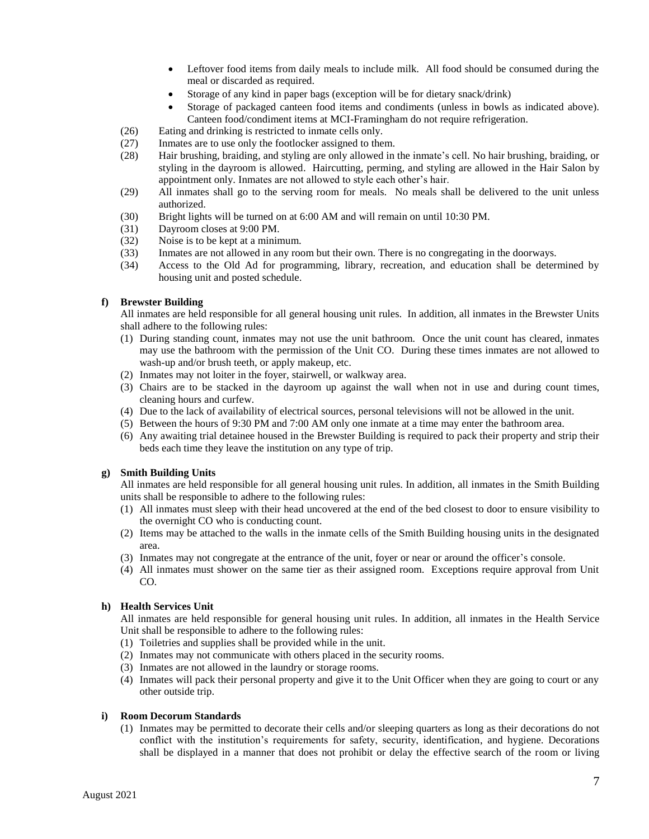- Leftover food items from daily meals to include milk. All food should be consumed during the meal or discarded as required.
- Storage of any kind in paper bags (exception will be for dietary snack/drink)
- Storage of packaged canteen food items and condiments (unless in bowls as indicated above). Canteen food/condiment items at MCI-Framingham do not require refrigeration.
- (26) Eating and drinking is restricted to inmate cells only.
- (27) Inmates are to use only the footlocker assigned to them.
- (28) Hair brushing, braiding, and styling are only allowed in the inmate's cell. No hair brushing, braiding, or styling in the dayroom is allowed. Haircutting, perming, and styling are allowed in the Hair Salon by appointment only. Inmates are not allowed to style each other's hair.
- (29) All inmates shall go to the serving room for meals. No meals shall be delivered to the unit unless authorized.
- (30) Bright lights will be turned on at 6:00 AM and will remain on until 10:30 PM.
- (31) Dayroom closes at 9:00 PM.
- (32) Noise is to be kept at a minimum.
- (33) Inmates are not allowed in any room but their own. There is no congregating in the doorways.
- (34) Access to the Old Ad for programming, library, recreation, and education shall be determined by housing unit and posted schedule.

#### **f) Brewster Building**

All inmates are held responsible for all general housing unit rules. In addition, all inmates in the Brewster Units shall adhere to the following rules:

- (1) During standing count, inmates may not use the unit bathroom. Once the unit count has cleared, inmates may use the bathroom with the permission of the Unit CO. During these times inmates are not allowed to wash-up and/or brush teeth, or apply makeup, etc.
- (2) Inmates may not loiter in the foyer, stairwell, or walkway area.
- (3) Chairs are to be stacked in the dayroom up against the wall when not in use and during count times, cleaning hours and curfew.
- (4) Due to the lack of availability of electrical sources, personal televisions will not be allowed in the unit.
- (5) Between the hours of 9:30 PM and 7:00 AM only one inmate at a time may enter the bathroom area.
- (6) Any awaiting trial detainee housed in the Brewster Building is required to pack their property and strip their beds each time they leave the institution on any type of trip.

#### **g) Smith Building Units**

All inmates are held responsible for all general housing unit rules. In addition, all inmates in the Smith Building units shall be responsible to adhere to the following rules:

- (1) All inmates must sleep with their head uncovered at the end of the bed closest to door to ensure visibility to the overnight CO who is conducting count.
- (2) Items may be attached to the walls in the inmate cells of the Smith Building housing units in the designated area.
- (3) Inmates may not congregate at the entrance of the unit, foyer or near or around the officer's console.
- (4) All inmates must shower on the same tier as their assigned room. Exceptions require approval from Unit CO.

#### **h) Health Services Unit**

All inmates are held responsible for general housing unit rules. In addition, all inmates in the Health Service Unit shall be responsible to adhere to the following rules:

- (1) Toiletries and supplies shall be provided while in the unit.
- (2) Inmates may not communicate with others placed in the security rooms.
- (3) Inmates are not allowed in the laundry or storage rooms.
- (4) Inmates will pack their personal property and give it to the Unit Officer when they are going to court or any other outside trip.

#### **i) Room Decorum Standards**

(1) Inmates may be permitted to decorate their cells and/or sleeping quarters as long as their decorations do not conflict with the institution's requirements for safety, security, identification, and hygiene. Decorations shall be displayed in a manner that does not prohibit or delay the effective search of the room or living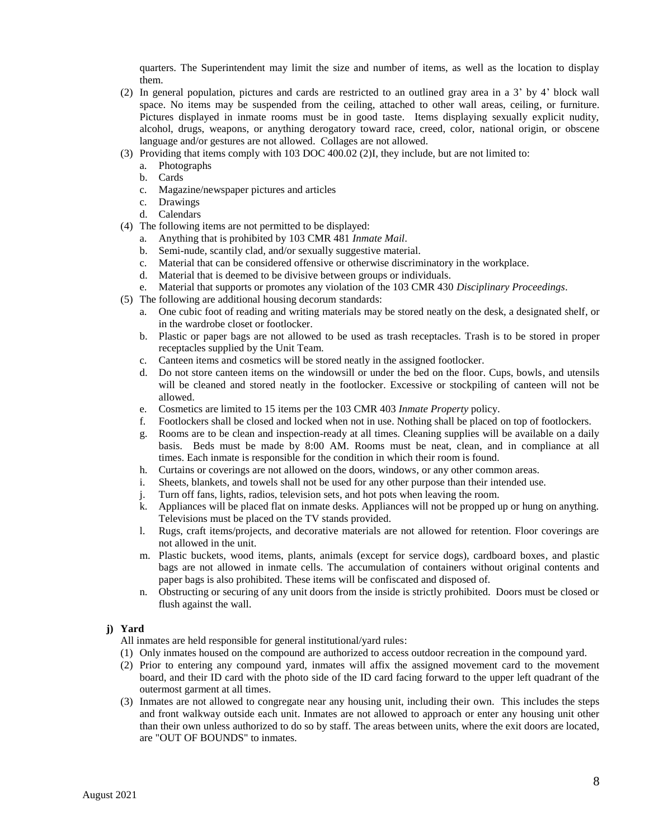quarters. The Superintendent may limit the size and number of items, as well as the location to display them.

- (2) In general population, pictures and cards are restricted to an outlined gray area in a 3' by 4' block wall space. No items may be suspended from the ceiling, attached to other wall areas, ceiling, or furniture. Pictures displayed in inmate rooms must be in good taste. Items displaying sexually explicit nudity, alcohol, drugs, weapons, or anything derogatory toward race, creed, color, national origin, or obscene language and/or gestures are not allowed. Collages are not allowed.
- (3) Providing that items comply with 103 DOC 400.02 (2)I, they include, but are not limited to:
	- a. Photographs
	- b. Cards
	- c. Magazine/newspaper pictures and articles
	- c. Drawings
	- d. Calendars
- (4) The following items are not permitted to be displayed:
	- a. Anything that is prohibited by 103 CMR 481 *Inmate Mail*.
	- b. Semi-nude, scantily clad, and/or sexually suggestive material.
	- c. Material that can be considered offensive or otherwise discriminatory in the workplace.
	- d. Material that is deemed to be divisive between groups or individuals.
	- e. Material that supports or promotes any violation of the 103 CMR 430 *Disciplinary Proceedings*.
- (5) The following are additional housing decorum standards:
	- a. One cubic foot of reading and writing materials may be stored neatly on the desk, a designated shelf, or in the wardrobe closet or footlocker.
	- b. Plastic or paper bags are not allowed to be used as trash receptacles. Trash is to be stored in proper receptacles supplied by the Unit Team.
	- c. Canteen items and cosmetics will be stored neatly in the assigned footlocker.
	- d. Do not store canteen items on the windowsill or under the bed on the floor. Cups, bowls, and utensils will be cleaned and stored neatly in the footlocker. Excessive or stockpiling of canteen will not be allowed.
	- e. Cosmetics are limited to 15 items per the 103 CMR 403 *Inmate Property* policy.
	- f. Footlockers shall be closed and locked when not in use. Nothing shall be placed on top of footlockers.
	- g. Rooms are to be clean and inspection-ready at all times. Cleaning supplies will be available on a daily basis. Beds must be made by 8:00 AM. Rooms must be neat, clean, and in compliance at all times. Each inmate is responsible for the condition in which their room is found.
	- h. Curtains or coverings are not allowed on the doors, windows, or any other common areas.
	- i. Sheets, blankets, and towels shall not be used for any other purpose than their intended use.
	- j. Turn off fans, lights, radios, television sets, and hot pots when leaving the room.
	- k. Appliances will be placed flat on inmate desks. Appliances will not be propped up or hung on anything. Televisions must be placed on the TV stands provided.
	- l. Rugs, craft items/projects, and decorative materials are not allowed for retention. Floor coverings are not allowed in the unit.
	- m. Plastic buckets, wood items, plants, animals (except for service dogs), cardboard boxes, and plastic bags are not allowed in inmate cells. The accumulation of containers without original contents and paper bags is also prohibited. These items will be confiscated and disposed of.
	- n. Obstructing or securing of any unit doors from the inside is strictly prohibited. Doors must be closed or flush against the wall.

#### **j) Yard**

- All inmates are held responsible for general institutional/yard rules:
- (1) Only inmates housed on the compound are authorized to access outdoor recreation in the compound yard.
- (2) Prior to entering any compound yard, inmates will affix the assigned movement card to the movement board, and their ID card with the photo side of the ID card facing forward to the upper left quadrant of the outermost garment at all times.
- (3) Inmates are not allowed to congregate near any housing unit, including their own. This includes the steps and front walkway outside each unit. Inmates are not allowed to approach or enter any housing unit other than their own unless authorized to do so by staff. The areas between units, where the exit doors are located, are "OUT OF BOUNDS" to inmates.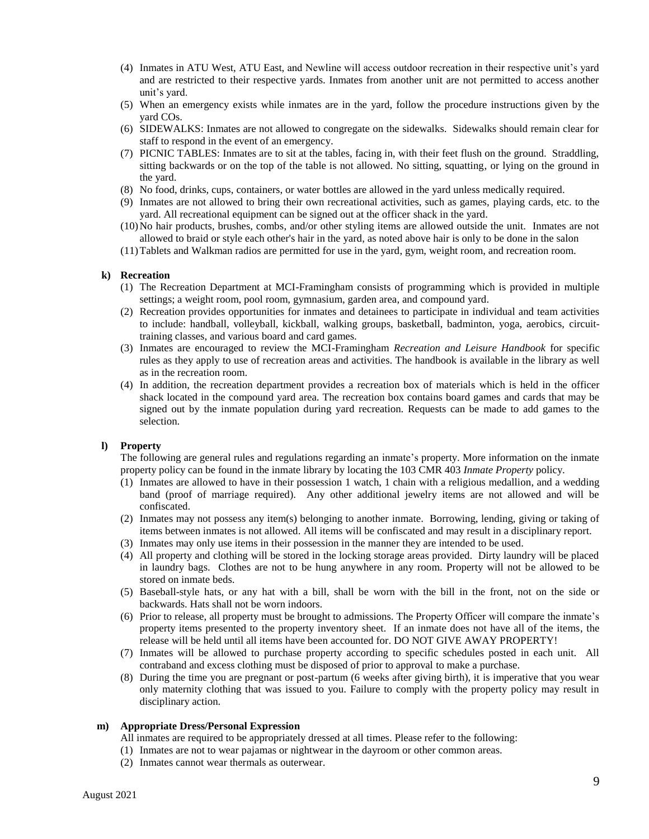- (4) Inmates in ATU West, ATU East, and Newline will access outdoor recreation in their respective unit's yard and are restricted to their respective yards. Inmates from another unit are not permitted to access another unit's yard.
- (5) When an emergency exists while inmates are in the yard, follow the procedure instructions given by the yard COs.
- (6) SIDEWALKS: Inmates are not allowed to congregate on the sidewalks. Sidewalks should remain clear for staff to respond in the event of an emergency.
- (7) PICNIC TABLES: Inmates are to sit at the tables, facing in, with their feet flush on the ground. Straddling, sitting backwards or on the top of the table is not allowed. No sitting, squatting, or lying on the ground in the yard.
- (8) No food, drinks, cups, containers, or water bottles are allowed in the yard unless medically required.
- (9) Inmates are not allowed to bring their own recreational activities, such as games, playing cards, etc. to the yard. All recreational equipment can be signed out at the officer shack in the yard.
- (10)No hair products, brushes, combs, and/or other styling items are allowed outside the unit. Inmates are not allowed to braid or style each other's hair in the yard, as noted above hair is only to be done in the salon
- (11)Tablets and Walkman radios are permitted for use in the yard, gym, weight room, and recreation room.

#### **k) Recreation**

- (1) The Recreation Department at MCI-Framingham consists of programming which is provided in multiple settings; a weight room, pool room, gymnasium, garden area, and compound yard.
- (2) Recreation provides opportunities for inmates and detainees to participate in individual and team activities to include: handball, volleyball, kickball, walking groups, basketball, badminton, yoga, aerobics, circuittraining classes, and various board and card games.
- (3) Inmates are encouraged to review the MCI-Framingham *Recreation and Leisure Handbook* for specific rules as they apply to use of recreation areas and activities. The handbook is available in the library as well as in the recreation room.
- (4) In addition, the recreation department provides a recreation box of materials which is held in the officer shack located in the compound yard area. The recreation box contains board games and cards that may be signed out by the inmate population during yard recreation. Requests can be made to add games to the selection.

#### **l) Property**

The following are general rules and regulations regarding an inmate's property. More information on the inmate property policy can be found in the inmate library by locating the 103 CMR 403 *Inmate Property* policy.

- (1) Inmates are allowed to have in their possession 1 watch, 1 chain with a religious medallion, and a wedding band (proof of marriage required). Any other additional jewelry items are not allowed and will be confiscated.
- (2) Inmates may not possess any item(s) belonging to another inmate. Borrowing, lending, giving or taking of items between inmates is not allowed. All items will be confiscated and may result in a disciplinary report.
- (3) Inmates may only use items in their possession in the manner they are intended to be used.
- (4) All property and clothing will be stored in the locking storage areas provided. Dirty laundry will be placed in laundry bags. Clothes are not to be hung anywhere in any room. Property will not be allowed to be stored on inmate beds.
- (5) Baseball-style hats, or any hat with a bill, shall be worn with the bill in the front, not on the side or backwards. Hats shall not be worn indoors.
- (6) Prior to release, all property must be brought to admissions. The Property Officer will compare the inmate's property items presented to the property inventory sheet. If an inmate does not have all of the items, the release will be held until all items have been accounted for. DO NOT GIVE AWAY PROPERTY!
- (7) Inmates will be allowed to purchase property according to specific schedules posted in each unit. All contraband and excess clothing must be disposed of prior to approval to make a purchase.
- (8) During the time you are pregnant or post-partum (6 weeks after giving birth), it is imperative that you wear only maternity clothing that was issued to you. Failure to comply with the property policy may result in disciplinary action.

#### **m) Appropriate Dress/Personal Expression**

All inmates are required to be appropriately dressed at all times. Please refer to the following:

- (1) Inmates are not to wear pajamas or nightwear in the dayroom or other common areas.
- (2) Inmates cannot wear thermals as outerwear.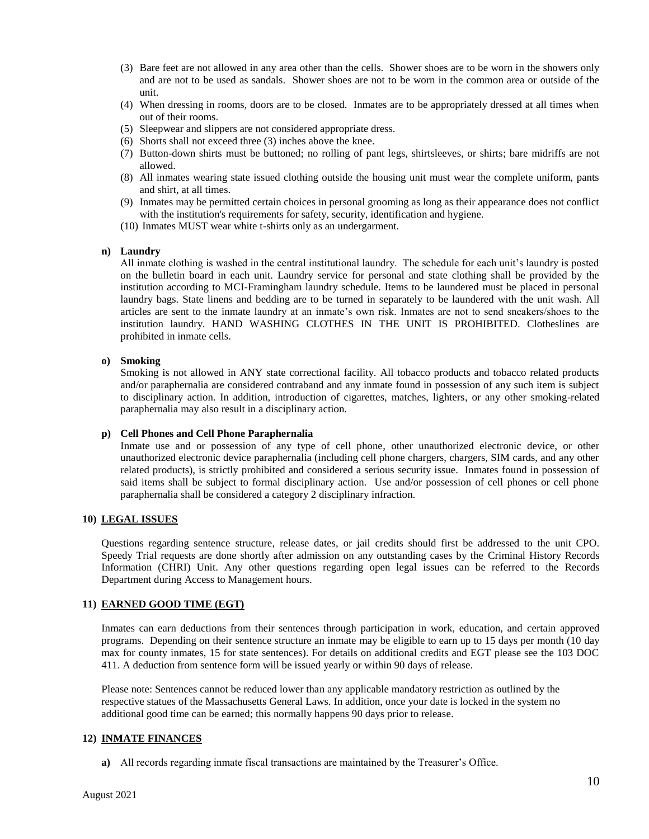- (3) Bare feet are not allowed in any area other than the cells. Shower shoes are to be worn in the showers only and are not to be used as sandals. Shower shoes are not to be worn in the common area or outside of the unit.
- (4) When dressing in rooms, doors are to be closed. Inmates are to be appropriately dressed at all times when out of their rooms.
- (5) Sleepwear and slippers are not considered appropriate dress.
- (6) Shorts shall not exceed three (3) inches above the knee.
- (7) Button-down shirts must be buttoned; no rolling of pant legs, shirtsleeves, or shirts; bare midriffs are not allowed.
- (8) All inmates wearing state issued clothing outside the housing unit must wear the complete uniform, pants and shirt, at all times.
- (9) Inmates may be permitted certain choices in personal grooming as long as their appearance does not conflict with the institution's requirements for safety, security, identification and hygiene.
- (10) Inmates MUST wear white t-shirts only as an undergarment.

#### **n) Laundry**

All inmate clothing is washed in the central institutional laundry. The schedule for each unit's laundry is posted on the bulletin board in each unit. Laundry service for personal and state clothing shall be provided by the institution according to MCI-Framingham laundry schedule. Items to be laundered must be placed in personal laundry bags. State linens and bedding are to be turned in separately to be laundered with the unit wash. All articles are sent to the inmate laundry at an inmate's own risk. Inmates are not to send sneakers/shoes to the institution laundry. HAND WASHING CLOTHES IN THE UNIT IS PROHIBITED. Clotheslines are prohibited in inmate cells.

#### **o) Smoking**

Smoking is not allowed in ANY state correctional facility. All tobacco products and tobacco related products and/or paraphernalia are considered contraband and any inmate found in possession of any such item is subject to disciplinary action. In addition, introduction of cigarettes, matches, lighters, or any other smoking-related paraphernalia may also result in a disciplinary action.

#### **p) Cell Phones and Cell Phone Paraphernalia**

Inmate use and or possession of any type of cell phone, other unauthorized electronic device, or other unauthorized electronic device paraphernalia (including cell phone chargers, chargers, SIM cards, and any other related products), is strictly prohibited and considered a serious security issue. Inmates found in possession of said items shall be subject to formal disciplinary action. Use and/or possession of cell phones or cell phone paraphernalia shall be considered a category 2 disciplinary infraction.

### **10) LEGAL ISSUES**

Questions regarding sentence structure, release dates, or jail credits should first be addressed to the unit CPO. Speedy Trial requests are done shortly after admission on any outstanding cases by the Criminal History Records Information (CHRI) Unit. Any other questions regarding open legal issues can be referred to the Records Department during Access to Management hours.

#### **11) EARNED GOOD TIME (EGT)**

Inmates can earn deductions from their sentences through participation in work, education, and certain approved programs. Depending on their sentence structure an inmate may be eligible to earn up to 15 days per month (10 day max for county inmates, 15 for state sentences). For details on additional credits and EGT please see the 103 DOC 411. A deduction from sentence form will be issued yearly or within 90 days of release.

Please note: Sentences cannot be reduced lower than any applicable mandatory restriction as outlined by the respective statues of the Massachusetts General Laws. In addition, once your date is locked in the system no additional good time can be earned; this normally happens 90 days prior to release.

#### **12) INMATE FINANCES**

**a)** All records regarding inmate fiscal transactions are maintained by the Treasurer's Office.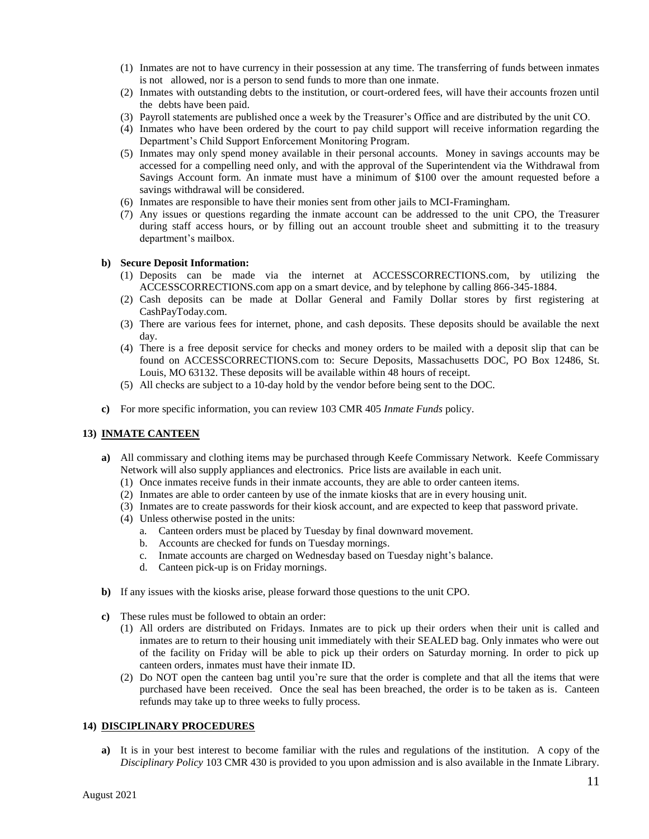- (1) Inmates are not to have currency in their possession at any time. The transferring of funds between inmates is not allowed, nor is a person to send funds to more than one inmate.
- (2) Inmates with outstanding debts to the institution, or court-ordered fees, will have their accounts frozen until the debts have been paid.
- (3) Payroll statements are published once a week by the Treasurer's Office and are distributed by the unit CO.
- (4) Inmates who have been ordered by the court to pay child support will receive information regarding the Department's Child Support Enforcement Monitoring Program.
- (5) Inmates may only spend money available in their personal accounts. Money in savings accounts may be accessed for a compelling need only, and with the approval of the Superintendent via the Withdrawal from Savings Account form. An inmate must have a minimum of \$100 over the amount requested before a savings withdrawal will be considered.
- (6) Inmates are responsible to have their monies sent from other jails to MCI-Framingham.
- (7) Any issues or questions regarding the inmate account can be addressed to the unit CPO, the Treasurer during staff access hours, or by filling out an account trouble sheet and submitting it to the treasury department's mailbox.

#### **b) Secure Deposit Information:**

- (1) Deposits can be made via the internet at ACCESSCORRECTIONS.com, by utilizing the ACCESSCORRECTIONS.com app on a smart device, and by telephone by calling 866-345-1884.
- (2) Cash deposits can be made at Dollar General and Family Dollar stores by first registering at CashPayToday.com.
- (3) There are various fees for internet, phone, and cash deposits. These deposits should be available the next day.
- (4) There is a free deposit service for checks and money orders to be mailed with a deposit slip that can be found on ACCESSCORRECTIONS.com to: Secure Deposits, Massachusetts DOC, PO Box 12486, St. Louis, MO 63132. These deposits will be available within 48 hours of receipt.
- (5) All checks are subject to a 10-day hold by the vendor before being sent to the DOC.
- **c)** For more specific information, you can review 103 CMR 405 *Inmate Funds* policy.

#### **13) INMATE CANTEEN**

- **a)** All commissary and clothing items may be purchased through Keefe Commissary Network. Keefe Commissary Network will also supply appliances and electronics. Price lists are available in each unit.
	- (1) Once inmates receive funds in their inmate accounts, they are able to order canteen items.
	- (2) Inmates are able to order canteen by use of the inmate kiosks that are in every housing unit.
	- (3) Inmates are to create passwords for their kiosk account, and are expected to keep that password private.
	- (4) Unless otherwise posted in the units:
		- a. Canteen orders must be placed by Tuesday by final downward movement.
		- b. Accounts are checked for funds on Tuesday mornings.
		- c. Inmate accounts are charged on Wednesday based on Tuesday night's balance.
		- d. Canteen pick-up is on Friday mornings.
- **b)** If any issues with the kiosks arise, please forward those questions to the unit CPO.
- **c)** These rules must be followed to obtain an order:
	- (1) All orders are distributed on Fridays. Inmates are to pick up their orders when their unit is called and inmates are to return to their housing unit immediately with their SEALED bag. Only inmates who were out of the facility on Friday will be able to pick up their orders on Saturday morning. In order to pick up canteen orders, inmates must have their inmate ID.
	- (2) Do NOT open the canteen bag until you're sure that the order is complete and that all the items that were purchased have been received. Once the seal has been breached, the order is to be taken as is. Canteen refunds may take up to three weeks to fully process.

#### **14) DISCIPLINARY PROCEDURES**

**a)** It is in your best interest to become familiar with the rules and regulations of the institution. A copy of the *Disciplinary Policy* 103 CMR 430 is provided to you upon admission and is also available in the Inmate Library.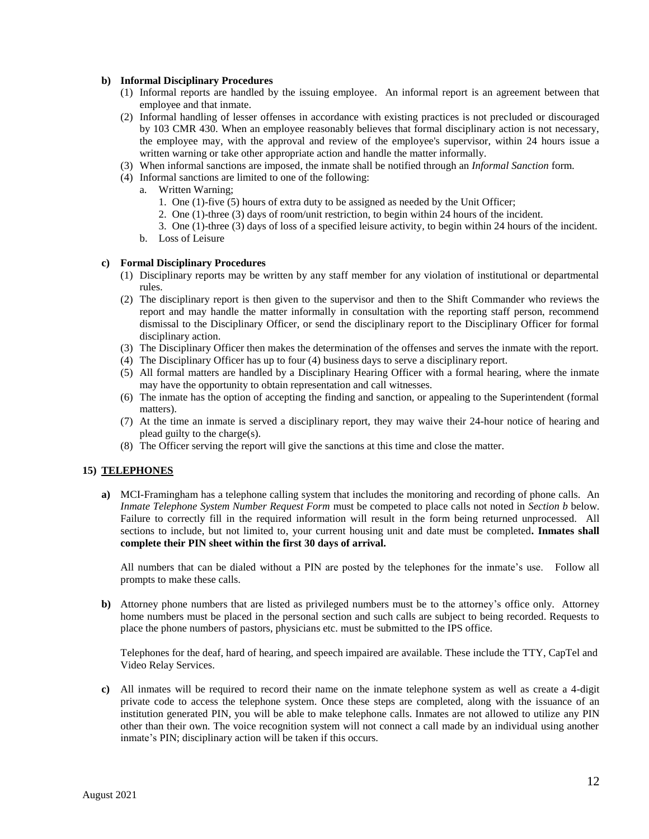#### **b) Informal Disciplinary Procedures**

- (1) Informal reports are handled by the issuing employee. An informal report is an agreement between that employee and that inmate.
- (2) Informal handling of lesser offenses in accordance with existing practices is not precluded or discouraged by 103 CMR 430. When an employee reasonably believes that formal disciplinary action is not necessary, the employee may, with the approval and review of the employee's supervisor, within 24 hours issue a written warning or take other appropriate action and handle the matter informally.
- (3) When informal sanctions are imposed, the inmate shall be notified through an *Informal Sanction* form.
- (4) Informal sanctions are limited to one of the following:
	- a. Written Warning;
		- 1. One (1)-five (5) hours of extra duty to be assigned as needed by the Unit Officer;
		- 2. One (1)-three (3) days of room/unit restriction, to begin within 24 hours of the incident.
		- 3. One (1)-three (3) days of loss of a specified leisure activity, to begin within 24 hours of the incident.
	- b. Loss of Leisure

#### **c) Formal Disciplinary Procedures**

- (1) Disciplinary reports may be written by any staff member for any violation of institutional or departmental rules.
- (2) The disciplinary report is then given to the supervisor and then to the Shift Commander who reviews the report and may handle the matter informally in consultation with the reporting staff person, recommend dismissal to the Disciplinary Officer, or send the disciplinary report to the Disciplinary Officer for formal disciplinary action.
- (3) The Disciplinary Officer then makes the determination of the offenses and serves the inmate with the report.
- (4) The Disciplinary Officer has up to four (4) business days to serve a disciplinary report.
- (5) All formal matters are handled by a Disciplinary Hearing Officer with a formal hearing, where the inmate may have the opportunity to obtain representation and call witnesses.
- (6) The inmate has the option of accepting the finding and sanction, or appealing to the Superintendent (formal matters).
- (7) At the time an inmate is served a disciplinary report, they may waive their 24-hour notice of hearing and plead guilty to the charge(s).
- (8) The Officer serving the report will give the sanctions at this time and close the matter.

#### **15) TELEPHONES**

**a)** MCI-Framingham has a telephone calling system that includes the monitoring and recording of phone calls. An *Inmate Telephone System Number Request Form* must be competed to place calls not noted in *Section b* below. Failure to correctly fill in the required information will result in the form being returned unprocessed. All sections to include, but not limited to, your current housing unit and date must be completed**. Inmates shall complete their PIN sheet within the first 30 days of arrival.**

All numbers that can be dialed without a PIN are posted by the telephones for the inmate's use. Follow all prompts to make these calls.

**b)** Attorney phone numbers that are listed as privileged numbers must be to the attorney's office only. Attorney home numbers must be placed in the personal section and such calls are subject to being recorded. Requests to place the phone numbers of pastors, physicians etc. must be submitted to the IPS office.

Telephones for the deaf, hard of hearing, and speech impaired are available. These include the TTY, CapTel and Video Relay Services.

**c)** All inmates will be required to record their name on the inmate telephone system as well as create a 4-digit private code to access the telephone system. Once these steps are completed, along with the issuance of an institution generated PIN, you will be able to make telephone calls. Inmates are not allowed to utilize any PIN other than their own. The voice recognition system will not connect a call made by an individual using another inmate's PIN; disciplinary action will be taken if this occurs.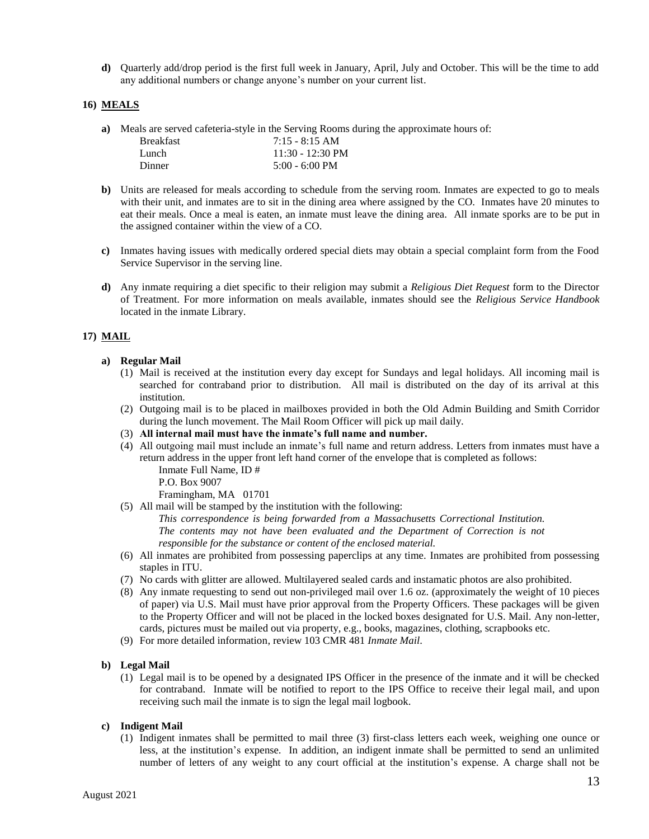**d)** Quarterly add/drop period is the first full week in January, April, July and October. This will be the time to add any additional numbers or change anyone's number on your current list.

#### **16) MEALS**

**a)** Meals are served cafeteria-style in the Serving Rooms during the approximate hours of:

| <b>Breakfast</b> | $7:15 - 8:15$ AM         |
|------------------|--------------------------|
| Lunch.           | $11:30 - 12:30$ PM       |
| Dinner           | $5:00 - 6:00 \text{ PM}$ |

- **b)** Units are released for meals according to schedule from the serving room. Inmates are expected to go to meals with their unit, and inmates are to sit in the dining area where assigned by the CO. Inmates have 20 minutes to eat their meals. Once a meal is eaten, an inmate must leave the dining area. All inmate sporks are to be put in the assigned container within the view of a CO.
- **c)** Inmates having issues with medically ordered special diets may obtain a special complaint form from the Food Service Supervisor in the serving line.
- **d)** Any inmate requiring a diet specific to their religion may submit a *Religious Diet Request* form to the Director of Treatment. For more information on meals available, inmates should see the *Religious Service Handbook* located in the inmate Library.

### **17) MAIL**

#### **a) Regular Mail**

- (1) Mail is received at the institution every day except for Sundays and legal holidays. All incoming mail is searched for contraband prior to distribution. All mail is distributed on the day of its arrival at this institution.
- (2) Outgoing mail is to be placed in mailboxes provided in both the Old Admin Building and Smith Corridor during the lunch movement. The Mail Room Officer will pick up mail daily.
- (3) **All internal mail must have the inmate's full name and number.**
- (4) All outgoing mail must include an inmate's full name and return address. Letters from inmates must have a return address in the upper front left hand corner of the envelope that is completed as follows:
	- Inmate Full Name, ID # P.O. Box 9007

Framingham, MA 01701

(5) All mail will be stamped by the institution with the following:

*This correspondence is being forwarded from a Massachusetts Correctional Institution. The contents may not have been evaluated and the Department of Correction is not responsible for the substance or content of the enclosed material.*

- (6) All inmates are prohibited from possessing paperclips at any time. Inmates are prohibited from possessing staples in ITU.
- (7) No cards with glitter are allowed. Multilayered sealed cards and instamatic photos are also prohibited.
- (8) Any inmate requesting to send out non-privileged mail over 1.6 oz. (approximately the weight of 10 pieces of paper) via U.S. Mail must have prior approval from the Property Officers. These packages will be given to the Property Officer and will not be placed in the locked boxes designated for U.S. Mail. Any non-letter, cards, pictures must be mailed out via property, e.g., books, magazines, clothing, scrapbooks etc.
- (9) For more detailed information, review 103 CMR 481 *Inmate Mail*.

#### **b) Legal Mail**

(1) Legal mail is to be opened by a designated IPS Officer in the presence of the inmate and it will be checked for contraband. Inmate will be notified to report to the IPS Office to receive their legal mail, and upon receiving such mail the inmate is to sign the legal mail logbook.

#### **c) Indigent Mail**

(1) Indigent inmates shall be permitted to mail three (3) first-class letters each week, weighing one ounce or less, at the institution's expense. In addition, an indigent inmate shall be permitted to send an unlimited number of letters of any weight to any court official at the institution's expense. A charge shall not be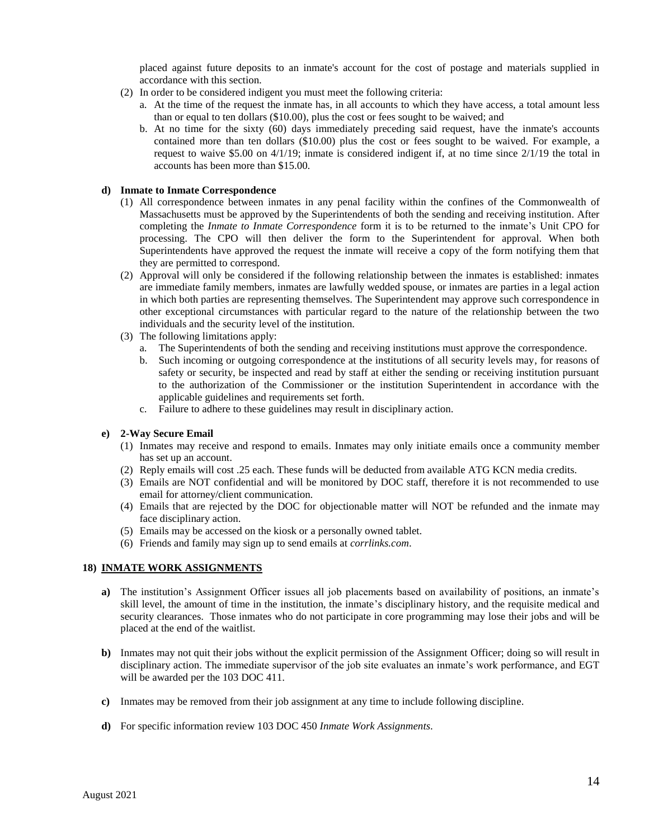placed against future deposits to an inmate's account for the cost of postage and materials supplied in accordance with this section.

- (2) In order to be considered indigent you must meet the following criteria:
	- a. At the time of the request the inmate has, in all accounts to which they have access, a total amount less than or equal to ten dollars (\$10.00), plus the cost or fees sought to be waived; and
	- b. At no time for the sixty (60) days immediately preceding said request, have the inmate's accounts contained more than ten dollars (\$10.00) plus the cost or fees sought to be waived. For example, a request to waive \$5.00 on 4/1/19; inmate is considered indigent if, at no time since 2/1/19 the total in accounts has been more than \$15.00.

#### **d) Inmate to Inmate Correspondence**

- (1) All correspondence between inmates in any penal facility within the confines of the Commonwealth of Massachusetts must be approved by the Superintendents of both the sending and receiving institution. After completing the *Inmate to Inmate Correspondence* form it is to be returned to the inmate's Unit CPO for processing. The CPO will then deliver the form to the Superintendent for approval. When both Superintendents have approved the request the inmate will receive a copy of the form notifying them that they are permitted to correspond.
- (2) Approval will only be considered if the following relationship between the inmates is established: inmates are immediate family members, inmates are lawfully wedded spouse, or inmates are parties in a legal action in which both parties are representing themselves. The Superintendent may approve such correspondence in other exceptional circumstances with particular regard to the nature of the relationship between the two individuals and the security level of the institution.
- (3) The following limitations apply:
	- a. The Superintendents of both the sending and receiving institutions must approve the correspondence.
	- b. Such incoming or outgoing correspondence at the institutions of all security levels may, for reasons of safety or security, be inspected and read by staff at either the sending or receiving institution pursuant to the authorization of the Commissioner or the institution Superintendent in accordance with the applicable guidelines and requirements set forth.
	- c. Failure to adhere to these guidelines may result in disciplinary action.

#### **e) 2-Way Secure Email**

- (1) Inmates may receive and respond to emails. Inmates may only initiate emails once a community member has set up an account.
- (2) Reply emails will cost .25 each. These funds will be deducted from available ATG KCN media credits.
- (3) Emails are NOT confidential and will be monitored by DOC staff, therefore it is not recommended to use email for attorney/client communication.
- (4) Emails that are rejected by the DOC for objectionable matter will NOT be refunded and the inmate may face disciplinary action.
- (5) Emails may be accessed on the kiosk or a personally owned tablet.
- (6) Friends and family may sign up to send emails at *corrlinks.com*.

#### **18) INMATE WORK ASSIGNMENTS**

- **a)** The institution's Assignment Officer issues all job placements based on availability of positions, an inmate's skill level, the amount of time in the institution, the inmate's disciplinary history, and the requisite medical and security clearances. Those inmates who do not participate in core programming may lose their jobs and will be placed at the end of the waitlist.
- **b**) Inmates may not quit their jobs without the explicit permission of the Assignment Officer; doing so will result in disciplinary action. The immediate supervisor of the job site evaluates an inmate's work performance, and EGT will be awarded per the 103 DOC 411.
- **c)** Inmates may be removed from their job assignment at any time to include following discipline.
- **d)** For specific information review 103 DOC 450 *Inmate Work Assignments*.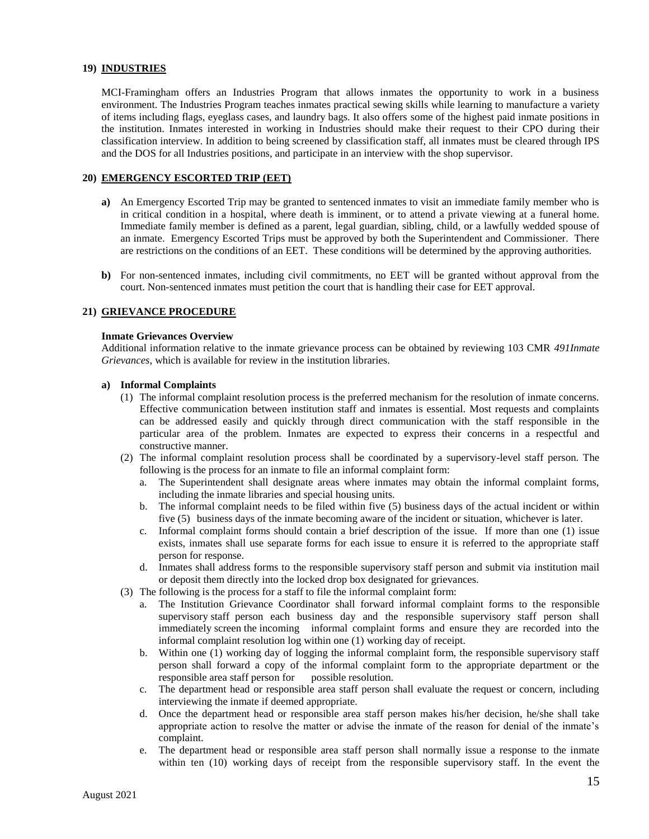#### **19) INDUSTRIES**

MCI-Framingham offers an Industries Program that allows inmates the opportunity to work in a business environment. The Industries Program teaches inmates practical sewing skills while learning to manufacture a variety of items including flags, eyeglass cases, and laundry bags. It also offers some of the highest paid inmate positions in the institution. Inmates interested in working in Industries should make their request to their CPO during their classification interview. In addition to being screened by classification staff, all inmates must be cleared through IPS and the DOS for all Industries positions, and participate in an interview with the shop supervisor.

#### **20) EMERGENCY ESCORTED TRIP (EET)**

- **a)** An Emergency Escorted Trip may be granted to sentenced inmates to visit an immediate family member who is in critical condition in a hospital, where death is imminent, or to attend a private viewing at a funeral home. Immediate family member is defined as a parent, legal guardian, sibling, child, or a lawfully wedded spouse of an inmate. Emergency Escorted Trips must be approved by both the Superintendent and Commissioner. There are restrictions on the conditions of an EET. These conditions will be determined by the approving authorities.
- **b)** For non-sentenced inmates, including civil commitments, no EET will be granted without approval from the court. Non-sentenced inmates must petition the court that is handling their case for EET approval.

#### **21) GRIEVANCE PROCEDURE**

#### **Inmate Grievances Overview**

Additional information relative to the inmate grievance process can be obtained by reviewing 103 CMR *491Inmate Grievances*, which is available for review in the institution libraries.

#### **a) Informal Complaints**

- (1) The informal complaint resolution process is the preferred mechanism for the resolution of inmate concerns. Effective communication between institution staff and inmates is essential. Most requests and complaints can be addressed easily and quickly through direct communication with the staff responsible in the particular area of the problem. Inmates are expected to express their concerns in a respectful and constructive manner.
- (2) The informal complaint resolution process shall be coordinated by a supervisory-level staff person. The following is the process for an inmate to file an informal complaint form:
	- a. The Superintendent shall designate areas where inmates may obtain the informal complaint forms, including the inmate libraries and special housing units.
	- b. The informal complaint needs to be filed within five (5) business days of the actual incident or within five (5) business days of the inmate becoming aware of the incident or situation, whichever is later.
	- c. Informal complaint forms should contain a brief description of the issue. If more than one (1) issue exists, inmates shall use separate forms for each issue to ensure it is referred to the appropriate staff person for response.
	- d. Inmates shall address forms to the responsible supervisory staff person and submit via institution mail or deposit them directly into the locked drop box designated for grievances.
- (3) The following is the process for a staff to file the informal complaint form:
	- a. The Institution Grievance Coordinator shall forward informal complaint forms to the responsible supervisory staff person each business day and the responsible supervisory staff person shall immediately screen the incoming informal complaint forms and ensure they are recorded into the informal complaint resolution log within one (1) working day of receipt.
	- b. Within one (1) working day of logging the informal complaint form, the responsible supervisory staff person shall forward a copy of the informal complaint form to the appropriate department or the responsible area staff person for
	- c. The department head or responsible area staff person shall evaluate the request or concern, including interviewing the inmate if deemed appropriate.
	- d. Once the department head or responsible area staff person makes his/her decision, he/she shall take appropriate action to resolve the matter or advise the inmate of the reason for denial of the inmate's complaint.
	- e. The department head or responsible area staff person shall normally issue a response to the inmate within ten (10) working days of receipt from the responsible supervisory staff. In the event the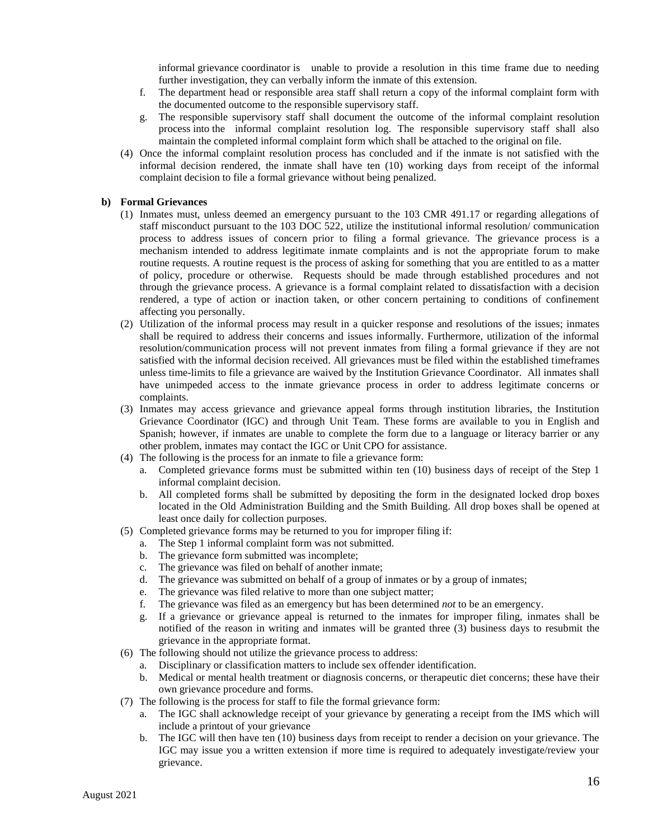informal grievance coordinator is unable to provide a resolution in this time frame due to needing further investigation, they can verbally inform the inmate of this extension.

- f. The department head or responsible area staff shall return a copy of the informal complaint form with the documented outcome to the responsible supervisory staff.
- g. The responsible supervisory staff shall document the outcome of the informal complaint resolution process into the informal complaint resolution log. The responsible supervisory staff shall also maintain the completed informal complaint form which shall be attached to the original on file.
- (4) Once the informal complaint resolution process has concluded and if the inmate is not satisfied with the informal decision rendered, the inmate shall have ten (10) working days from receipt of the informal complaint decision to file a formal grievance without being penalized.

#### **b) Formal Grievances**

- (1) Inmates must, unless deemed an emergency pursuant to the 103 CMR 491.17 or regarding allegations of staff misconduct pursuant to the 103 DOC 522, utilize the institutional informal resolution/ communication process to address issues of concern prior to filing a formal grievance. The grievance process is a mechanism intended to address legitimate inmate complaints and is not the appropriate forum to make routine requests. A routine request is the process of asking for something that you are entitled to as a matter of policy, procedure or otherwise. Requests should be made through established procedures and not through the grievance process. A grievance is a formal complaint related to dissatisfaction with a decision rendered, a type of action or inaction taken, or other concern pertaining to conditions of confinement affecting you personally.
- (2) Utilization of the informal process may result in a quicker response and resolutions of the issues; inmates shall be required to address their concerns and issues informally. Furthermore, utilization of the informal resolution/communication process will not prevent inmates from filing a formal grievance if they are not satisfied with the informal decision received. All grievances must be filed within the established timeframes unless time-limits to file a grievance are waived by the Institution Grievance Coordinator. All inmates shall have unimpeded access to the inmate grievance process in order to address legitimate concerns or complaints.
- (3) Inmates may access grievance and grievance appeal forms through institution libraries, the Institution Grievance Coordinator (IGC) and through Unit Team. These forms are available to you in English and Spanish; however, if inmates are unable to complete the form due to a language or literacy barrier or any other problem, inmates may contact the IGC or Unit CPO for assistance.
- (4) The following is the process for an inmate to file a grievance form:
	- a. Completed grievance forms must be submitted within ten (10) business days of receipt of the Step 1 informal complaint decision.
	- b. All completed forms shall be submitted by depositing the form in the designated locked drop boxes located in the Old Administration Building and the Smith Building. All drop boxes shall be opened at least once daily for collection purposes.
- (5) Completed grievance forms may be returned to you for improper filing if:
	- a. The Step 1 informal complaint form was not submitted.
	- b. The grievance form submitted was incomplete;
	- c. The grievance was filed on behalf of another inmate;
	- d. The grievance was submitted on behalf of a group of inmates or by a group of inmates;
	- e. The grievance was filed relative to more than one subject matter;
	- f. The grievance was filed as an emergency but has been determined *not* to be an emergency.
	- g. If a grievance or grievance appeal is returned to the inmates for improper filing, inmates shall be notified of the reason in writing and inmates will be granted three (3) business days to resubmit the grievance in the appropriate format.
- (6) The following should not utilize the grievance process to address:
	- a. Disciplinary or classification matters to include sex offender identification.
	- b. Medical or mental health treatment or diagnosis concerns, or therapeutic diet concerns; these have their own grievance procedure and forms.
- (7) The following is the process for staff to file the formal grievance form:
	- a. The IGC shall acknowledge receipt of your grievance by generating a receipt from the IMS which will include a printout of your grievance
	- b. The IGC will then have ten (10) business days from receipt to render a decision on your grievance. The IGC may issue you a written extension if more time is required to adequately investigate/review your grievance.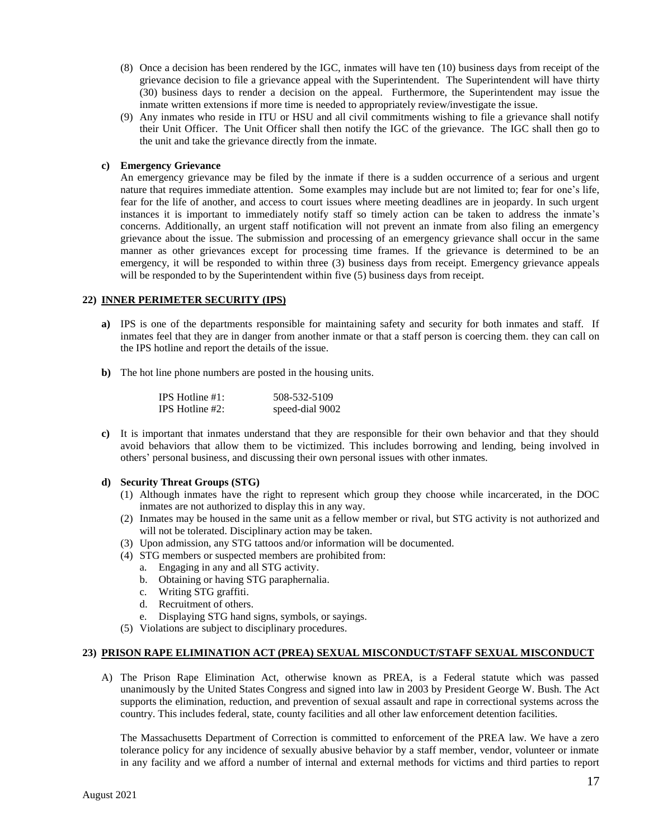- (8) Once a decision has been rendered by the IGC, inmates will have ten (10) business days from receipt of the grievance decision to file a grievance appeal with the Superintendent. The Superintendent will have thirty (30) business days to render a decision on the appeal. Furthermore, the Superintendent may issue the inmate written extensions if more time is needed to appropriately review/investigate the issue.
- (9) Any inmates who reside in ITU or HSU and all civil commitments wishing to file a grievance shall notify their Unit Officer. The Unit Officer shall then notify the IGC of the grievance. The IGC shall then go to the unit and take the grievance directly from the inmate.

#### **c) Emergency Grievance**

An emergency grievance may be filed by the inmate if there is a sudden occurrence of a serious and urgent nature that requires immediate attention. Some examples may include but are not limited to; fear for one's life, fear for the life of another, and access to court issues where meeting deadlines are in jeopardy. In such urgent instances it is important to immediately notify staff so timely action can be taken to address the inmate's concerns. Additionally, an urgent staff notification will not prevent an inmate from also filing an emergency grievance about the issue. The submission and processing of an emergency grievance shall occur in the same manner as other grievances except for processing time frames. If the grievance is determined to be an emergency, it will be responded to within three (3) business days from receipt. Emergency grievance appeals will be responded to by the Superintendent within five (5) business days from receipt.

#### **22) INNER PERIMETER SECURITY (IPS)**

- **a)** IPS is one of the departments responsible for maintaining safety and security for both inmates and staff. If inmates feel that they are in danger from another inmate or that a staff person is coercing them. they can call on the IPS hotline and report the details of the issue.
- **b)** The hot line phone numbers are posted in the housing units.

| IPS Hotline $#1$ : | 508-532-5109    |
|--------------------|-----------------|
| IPS Hotline $#2$ : | speed-dial 9002 |

**c)** It is important that inmates understand that they are responsible for their own behavior and that they should avoid behaviors that allow them to be victimized. This includes borrowing and lending, being involved in others' personal business, and discussing their own personal issues with other inmates.

#### **d) Security Threat Groups (STG)**

- (1) Although inmates have the right to represent which group they choose while incarcerated, in the DOC inmates are not authorized to display this in any way.
- (2) Inmates may be housed in the same unit as a fellow member or rival, but STG activity is not authorized and will not be tolerated. Disciplinary action may be taken.
- (3) Upon admission, any STG tattoos and/or information will be documented.
- (4) STG members or suspected members are prohibited from:
	- a. Engaging in any and all STG activity.
	- b. Obtaining or having STG paraphernalia.
	- c. Writing STG graffiti.
	- d. Recruitment of others.
	- e. Displaying STG hand signs, symbols, or sayings.
- (5) Violations are subject to disciplinary procedures.

#### **23) PRISON RAPE ELIMINATION ACT (PREA) SEXUAL MISCONDUCT/STAFF SEXUAL MISCONDUCT**

A) The Prison Rape Elimination Act, otherwise known as PREA, is a Federal statute which was passed unanimously by the United States Congress and signed into law in 2003 by President George W. Bush. The Act supports the elimination, reduction, and prevention of sexual assault and rape in correctional systems across the country. This includes federal, state, county facilities and all other law enforcement detention facilities.

The Massachusetts Department of Correction is committed to enforcement of the PREA law. We have a zero tolerance policy for any incidence of sexually abusive behavior by a staff member, vendor, volunteer or inmate in any facility and we afford a number of internal and external methods for victims and third parties to report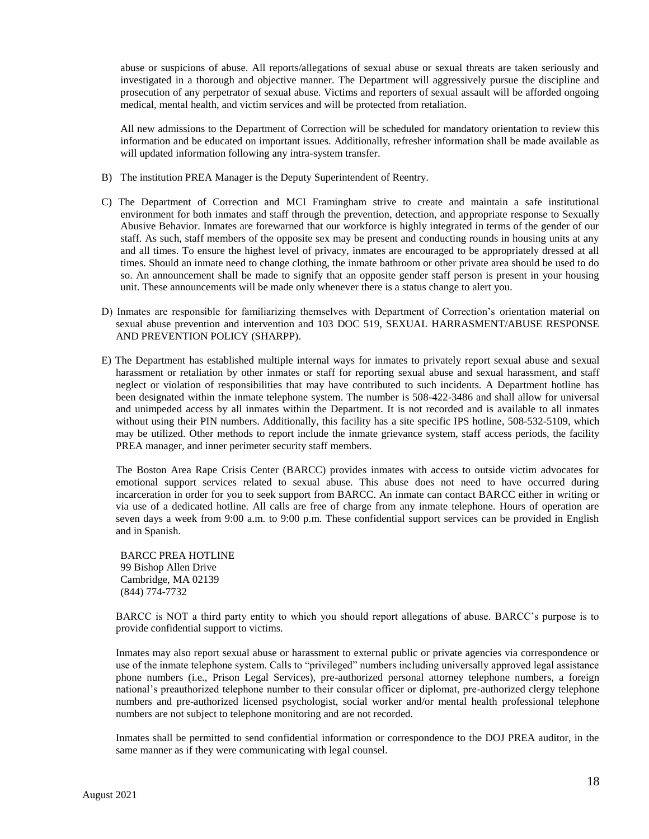abuse or suspicions of abuse. All reports/allegations of sexual abuse or sexual threats are taken seriously and investigated in a thorough and objective manner. The Department will aggressively pursue the discipline and prosecution of any perpetrator of sexual abuse. Victims and reporters of sexual assault will be afforded ongoing medical, mental health, and victim services and will be protected from retaliation.

All new admissions to the Department of Correction will be scheduled for mandatory orientation to review this information and be educated on important issues. Additionally, refresher information shall be made available as will updated information following any intra-system transfer.

- B) The institution PREA Manager is the Deputy Superintendent of Reentry.
- C) The Department of Correction and MCI Framingham strive to create and maintain a safe institutional environment for both inmates and staff through the prevention, detection, and appropriate response to Sexually Abusive Behavior. Inmates are forewarned that our workforce is highly integrated in terms of the gender of our staff. As such, staff members of the opposite sex may be present and conducting rounds in housing units at any and all times. To ensure the highest level of privacy, inmates are encouraged to be appropriately dressed at all times. Should an inmate need to change clothing, the inmate bathroom or other private area should be used to do so. An announcement shall be made to signify that an opposite gender staff person is present in your housing unit. These announcements will be made only whenever there is a status change to alert you.
- D) Inmates are responsible for familiarizing themselves with Department of Correction's orientation material on sexual abuse prevention and intervention and 103 DOC 519, SEXUAL HARRASMENT/ABUSE RESPONSE AND PREVENTION POLICY (SHARPP).
- E) The Department has established multiple internal ways for inmates to privately report sexual abuse and sexual harassment or retaliation by other inmates or staff for reporting sexual abuse and sexual harassment, and staff neglect or violation of responsibilities that may have contributed to such incidents. A Department hotline has been designated within the inmate telephone system. The number is 508-422-3486 and shall allow for universal and unimpeded access by all inmates within the Department. It is not recorded and is available to all inmates without using their PIN numbers. Additionally, this facility has a site specific IPS hotline, 508-532-5109, which may be utilized. Other methods to report include the inmate grievance system, staff access periods, the facility PREA manager, and inner perimeter security staff members.

The Boston Area Rape Crisis Center (BARCC) provides inmates with access to outside victim advocates for emotional support services related to sexual abuse. This abuse does not need to have occurred during incarceration in order for you to seek support from BARCC. An inmate can contact BARCC either in writing or via use of a dedicated hotline. All calls are free of charge from any inmate telephone. Hours of operation are seven days a week from 9:00 a.m. to 9:00 p.m. These confidential support services can be provided in English and in Spanish.

BARCC PREA HOTLINE 99 Bishop Allen Drive Cambridge, MA 02139 (844) 774-7732

BARCC is NOT a third party entity to which you should report allegations of abuse. BARCC's purpose is to provide confidential support to victims.

Inmates may also report sexual abuse or harassment to external public or private agencies via correspondence or use of the inmate telephone system. Calls to "privileged" numbers including universally approved legal assistance phone numbers (i.e., Prison Legal Services), pre-authorized personal attorney telephone numbers, a foreign national's preauthorized telephone number to their consular officer or diplomat, pre-authorized clergy telephone numbers and pre-authorized licensed psychologist, social worker and/or mental health professional telephone numbers are not subject to telephone monitoring and are not recorded.

Inmates shall be permitted to send confidential information or correspondence to the DOJ PREA auditor, in the same manner as if they were communicating with legal counsel.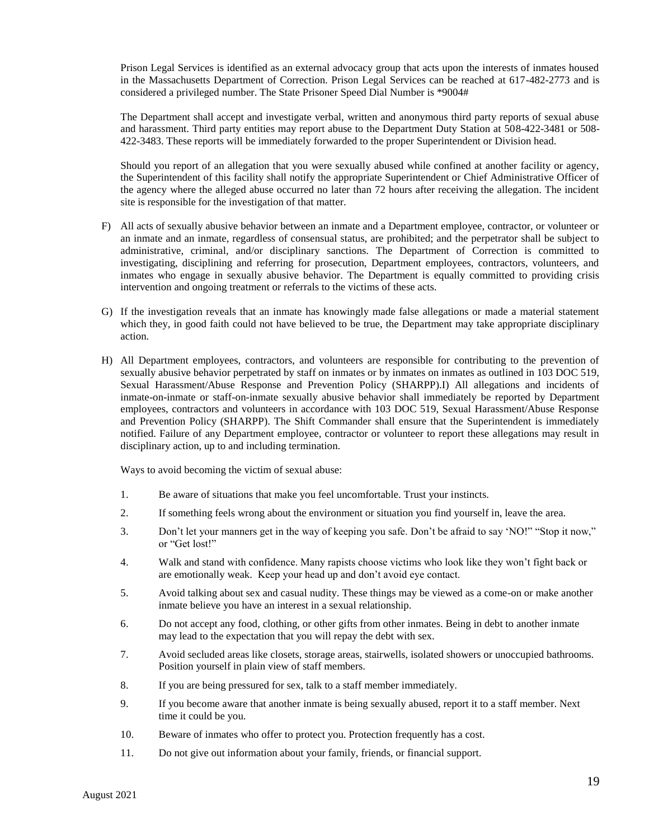Prison Legal Services is identified as an external advocacy group that acts upon the interests of inmates housed in the Massachusetts Department of Correction. Prison Legal Services can be reached at 617-482-2773 and is considered a privileged number. The State Prisoner Speed Dial Number is \*9004#

The Department shall accept and investigate verbal, written and anonymous third party reports of sexual abuse and harassment. Third party entities may report abuse to the Department Duty Station at 508-422-3481 or 508- 422-3483. These reports will be immediately forwarded to the proper Superintendent or Division head.

Should you report of an allegation that you were sexually abused while confined at another facility or agency, the Superintendent of this facility shall notify the appropriate Superintendent or Chief Administrative Officer of the agency where the alleged abuse occurred no later than 72 hours after receiving the allegation. The incident site is responsible for the investigation of that matter.

- F) All acts of sexually abusive behavior between an inmate and a Department employee, contractor, or volunteer or an inmate and an inmate, regardless of consensual status, are prohibited; and the perpetrator shall be subject to administrative, criminal, and/or disciplinary sanctions. The Department of Correction is committed to investigating, disciplining and referring for prosecution, Department employees, contractors, volunteers, and inmates who engage in sexually abusive behavior. The Department is equally committed to providing crisis intervention and ongoing treatment or referrals to the victims of these acts.
- G) If the investigation reveals that an inmate has knowingly made false allegations or made a material statement which they, in good faith could not have believed to be true, the Department may take appropriate disciplinary action.
- H) All Department employees, contractors, and volunteers are responsible for contributing to the prevention of sexually abusive behavior perpetrated by staff on inmates or by inmates on inmates as outlined in 103 DOC 519, Sexual Harassment/Abuse Response and Prevention Policy (SHARPP).I) All allegations and incidents of inmate-on-inmate or staff-on-inmate sexually abusive behavior shall immediately be reported by Department employees, contractors and volunteers in accordance with 103 DOC 519, Sexual Harassment/Abuse Response and Prevention Policy (SHARPP). The Shift Commander shall ensure that the Superintendent is immediately notified. Failure of any Department employee, contractor or volunteer to report these allegations may result in disciplinary action, up to and including termination.

Ways to avoid becoming the victim of sexual abuse:

- 1. Be aware of situations that make you feel uncomfortable. Trust your instincts.
- 2. If something feels wrong about the environment or situation you find yourself in, leave the area.
- 3. Don't let your manners get in the way of keeping you safe. Don't be afraid to say 'NO!" "Stop it now," or "Get lost!"
- 4. Walk and stand with confidence. Many rapists choose victims who look like they won't fight back or are emotionally weak. Keep your head up and don't avoid eye contact.
- 5. Avoid talking about sex and casual nudity. These things may be viewed as a come-on or make another inmate believe you have an interest in a sexual relationship.
- 6. Do not accept any food, clothing, or other gifts from other inmates. Being in debt to another inmate may lead to the expectation that you will repay the debt with sex.
- 7. Avoid secluded areas like closets, storage areas, stairwells, isolated showers or unoccupied bathrooms. Position yourself in plain view of staff members.
- 8. If you are being pressured for sex, talk to a staff member immediately.
- 9. If you become aware that another inmate is being sexually abused, report it to a staff member. Next time it could be you.
- 10. Beware of inmates who offer to protect you. Protection frequently has a cost.
- 11. Do not give out information about your family, friends, or financial support.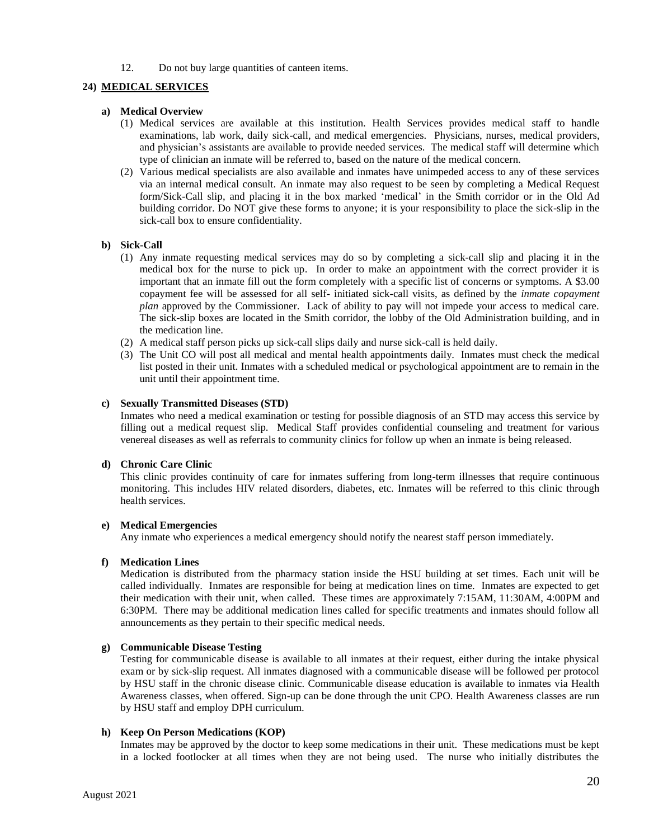12. Do not buy large quantities of canteen items.

#### **24) MEDICAL SERVICES**

#### **a) Medical Overview**

- (1) Medical services are available at this institution. Health Services provides medical staff to handle examinations, lab work, daily sick-call, and medical emergencies. Physicians, nurses, medical providers, and physician's assistants are available to provide needed services. The medical staff will determine which type of clinician an inmate will be referred to, based on the nature of the medical concern.
- (2) Various medical specialists are also available and inmates have unimpeded access to any of these services via an internal medical consult. An inmate may also request to be seen by completing a Medical Request form/Sick-Call slip, and placing it in the box marked 'medical' in the Smith corridor or in the Old Ad building corridor. Do NOT give these forms to anyone; it is your responsibility to place the sick-slip in the sick-call box to ensure confidentiality.

#### **b) Sick-Call**

- (1) Any inmate requesting medical services may do so by completing a sick-call slip and placing it in the medical box for the nurse to pick up. In order to make an appointment with the correct provider it is important that an inmate fill out the form completely with a specific list of concerns or symptoms. A \$3.00 copayment fee will be assessed for all self- initiated sick-call visits, as defined by the *inmate copayment plan* approved by the Commissioner. Lack of ability to pay will not impede your access to medical care. The sick-slip boxes are located in the Smith corridor, the lobby of the Old Administration building, and in the medication line.
- (2) A medical staff person picks up sick-call slips daily and nurse sick-call is held daily.
- (3) The Unit CO will post all medical and mental health appointments daily. Inmates must check the medical list posted in their unit. Inmates with a scheduled medical or psychological appointment are to remain in the unit until their appointment time.

#### **c) Sexually Transmitted Diseases (STD)**

Inmates who need a medical examination or testing for possible diagnosis of an STD may access this service by filling out a medical request slip. Medical Staff provides confidential counseling and treatment for various venereal diseases as well as referrals to community clinics for follow up when an inmate is being released.

#### **d) Chronic Care Clinic**

This clinic provides continuity of care for inmates suffering from long-term illnesses that require continuous monitoring. This includes HIV related disorders, diabetes, etc. Inmates will be referred to this clinic through health services.

#### **e) Medical Emergencies**

Any inmate who experiences a medical emergency should notify the nearest staff person immediately.

#### **f) Medication Lines**

Medication is distributed from the pharmacy station inside the HSU building at set times. Each unit will be called individually. Inmates are responsible for being at medication lines on time. Inmates are expected to get their medication with their unit, when called. These times are approximately 7:15AM, 11:30AM, 4:00PM and 6:30PM. There may be additional medication lines called for specific treatments and inmates should follow all announcements as they pertain to their specific medical needs.

#### **g) Communicable Disease Testing**

Testing for communicable disease is available to all inmates at their request, either during the intake physical exam or by sick-slip request. All inmates diagnosed with a communicable disease will be followed per protocol by HSU staff in the chronic disease clinic. Communicable disease education is available to inmates via Health Awareness classes, when offered. Sign-up can be done through the unit CPO. Health Awareness classes are run by HSU staff and employ DPH curriculum.

#### **h) Keep On Person Medications (KOP)**

Inmates may be approved by the doctor to keep some medications in their unit. These medications must be kept in a locked footlocker at all times when they are not being used. The nurse who initially distributes the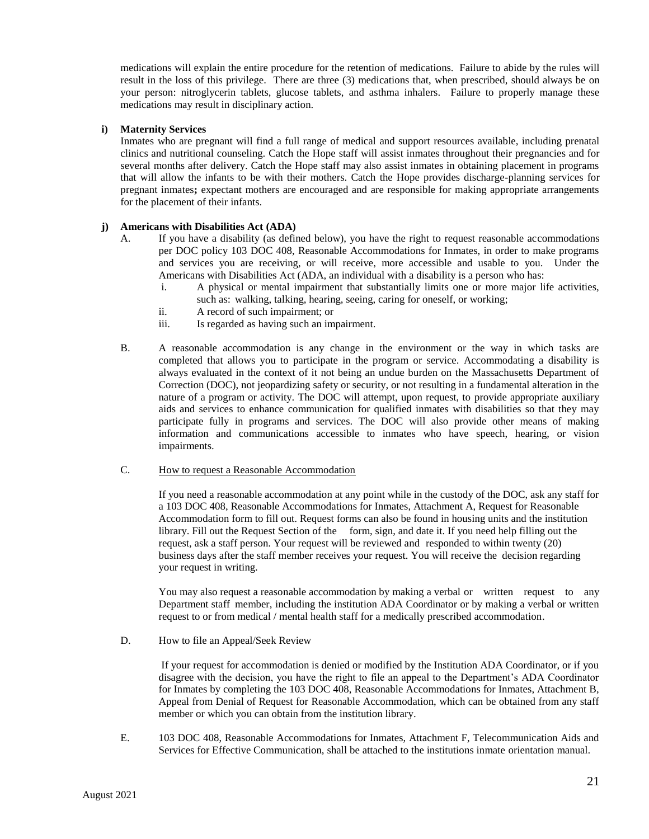medications will explain the entire procedure for the retention of medications. Failure to abide by the rules will result in the loss of this privilege. There are three (3) medications that, when prescribed, should always be on your person: nitroglycerin tablets, glucose tablets, and asthma inhalers. Failure to properly manage these medications may result in disciplinary action.

#### **i) Maternity Services**

Inmates who are pregnant will find a full range of medical and support resources available, including prenatal clinics and nutritional counseling. Catch the Hope staff will assist inmates throughout their pregnancies and for several months after delivery. Catch the Hope staff may also assist inmates in obtaining placement in programs that will allow the infants to be with their mothers. Catch the Hope provides discharge-planning services for pregnant inmates**;** expectant mothers are encouraged and are responsible for making appropriate arrangements for the placement of their infants.

#### **j) Americans with Disabilities Act (ADA)**

- A. If you have a disability (as defined below), you have the right to request reasonable accommodations per DOC policy 103 DOC 408, Reasonable Accommodations for Inmates, in order to make programs and services you are receiving, or will receive, more accessible and usable to you. Under the Americans with Disabilities Act (ADA, an individual with a disability is a person who has:
	- i. A physical or mental impairment that substantially limits one or more major life activities, such as: walking, talking, hearing, seeing, caring for oneself, or working;
	- ii. A record of such impairment; or
	- iii. Is regarded as having such an impairment.
- B. A reasonable accommodation is any change in the environment or the way in which tasks are completed that allows you to participate in the program or service. Accommodating a disability is always evaluated in the context of it not being an undue burden on the Massachusetts Department of Correction (DOC), not jeopardizing safety or security, or not resulting in a fundamental alteration in the nature of a program or activity. The DOC will attempt, upon request, to provide appropriate auxiliary aids and services to enhance communication for qualified inmates with disabilities so that they may participate fully in programs and services. The DOC will also provide other means of making information and communications accessible to inmates who have speech, hearing, or vision impairments.

#### C. How to request a Reasonable Accommodation

If you need a reasonable accommodation at any point while in the custody of the DOC, ask any staff for a 103 DOC 408, Reasonable Accommodations for Inmates, Attachment A, Request for Reasonable Accommodation form to fill out. Request forms can also be found in housing units and the institution library. Fill out the Request Section of the form, sign, and date it. If you need help filling out the request, ask a staff person. Your request will be reviewed and responded to within twenty (20) business days after the staff member receives your request. You will receive the decision regarding your request in writing.

You may also request a reasonable accommodation by making a verbal or written request to any Department staff member, including the institution ADA Coordinator or by making a verbal or written request to or from medical / mental health staff for a medically prescribed accommodation.

D. How to file an Appeal/Seek Review

If your request for accommodation is denied or modified by the Institution ADA Coordinator, or if you disagree with the decision, you have the right to file an appeal to the Department's ADA Coordinator for Inmates by completing the 103 DOC 408, Reasonable Accommodations for Inmates, Attachment B, Appeal from Denial of Request for Reasonable Accommodation, which can be obtained from any staff member or which you can obtain from the institution library.

E. 103 DOC 408, Reasonable Accommodations for Inmates, Attachment F, Telecommunication Aids and Services for Effective Communication, shall be attached to the institutions inmate orientation manual.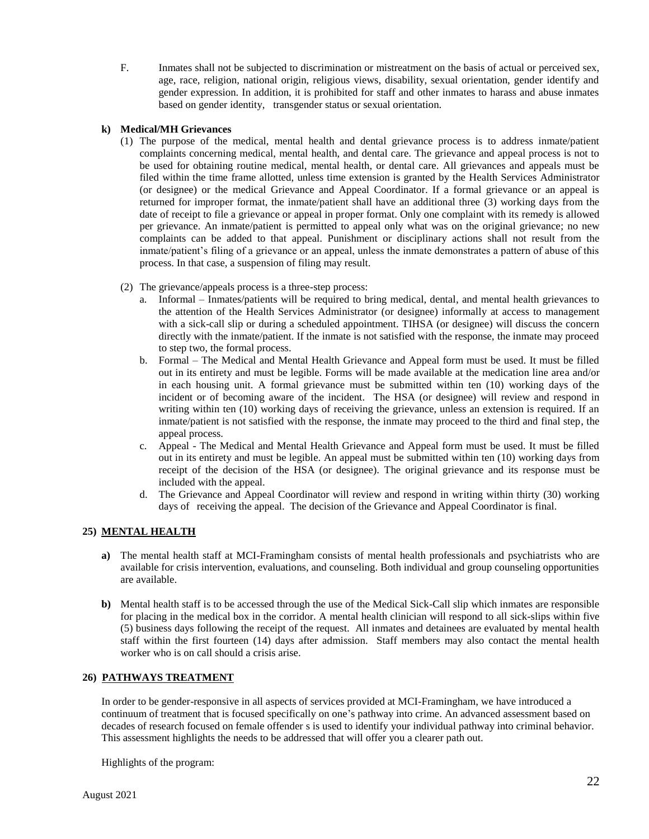F. Inmates shall not be subjected to discrimination or mistreatment on the basis of actual or perceived sex, age, race, religion, national origin, religious views, disability, sexual orientation, gender identify and gender expression. In addition, it is prohibited for staff and other inmates to harass and abuse inmates based on gender identity, transgender status or sexual orientation.

#### **k) Medical/MH Grievances**

- (1) The purpose of the medical, mental health and dental grievance process is to address inmate/patient complaints concerning medical, mental health, and dental care. The grievance and appeal process is not to be used for obtaining routine medical, mental health, or dental care. All grievances and appeals must be filed within the time frame allotted, unless time extension is granted by the Health Services Administrator (or designee) or the medical Grievance and Appeal Coordinator. If a formal grievance or an appeal is returned for improper format, the inmate/patient shall have an additional three (3) working days from the date of receipt to file a grievance or appeal in proper format. Only one complaint with its remedy is allowed per grievance. An inmate/patient is permitted to appeal only what was on the original grievance; no new complaints can be added to that appeal. Punishment or disciplinary actions shall not result from the inmate/patient's filing of a grievance or an appeal, unless the inmate demonstrates a pattern of abuse of this process. In that case, a suspension of filing may result.
- (2) The grievance/appeals process is a three-step process:
	- a. Informal Inmates/patients will be required to bring medical, dental, and mental health grievances to the attention of the Health Services Administrator (or designee) informally at access to management with a sick-call slip or during a scheduled appointment. TIHSA (or designee) will discuss the concern directly with the inmate/patient. If the inmate is not satisfied with the response, the inmate may proceed to step two, the formal process.
	- b. Formal The Medical and Mental Health Grievance and Appeal form must be used. It must be filled out in its entirety and must be legible. Forms will be made available at the medication line area and/or in each housing unit. A formal grievance must be submitted within ten (10) working days of the incident or of becoming aware of the incident. The HSA (or designee) will review and respond in writing within ten (10) working days of receiving the grievance, unless an extension is required. If an inmate/patient is not satisfied with the response, the inmate may proceed to the third and final step, the appeal process.
	- c. Appeal The Medical and Mental Health Grievance and Appeal form must be used. It must be filled out in its entirety and must be legible. An appeal must be submitted within ten (10) working days from receipt of the decision of the HSA (or designee). The original grievance and its response must be included with the appeal.
	- d. The Grievance and Appeal Coordinator will review and respond in writing within thirty (30) working days of receiving the appeal. The decision of the Grievance and Appeal Coordinator is final.

#### **25) MENTAL HEALTH**

- **a)** The mental health staff at MCI-Framingham consists of mental health professionals and psychiatrists who are available for crisis intervention, evaluations, and counseling. Both individual and group counseling opportunities are available.
- **b)** Mental health staff is to be accessed through the use of the Medical Sick-Call slip which inmates are responsible for placing in the medical box in the corridor. A mental health clinician will respond to all sick-slips within five (5) business days following the receipt of the request. All inmates and detainees are evaluated by mental health staff within the first fourteen (14) days after admission. Staff members may also contact the mental health worker who is on call should a crisis arise.

#### **26) PATHWAYS TREATMENT**

In order to be gender-responsive in all aspects of services provided at MCI-Framingham, we have introduced a continuum of treatment that is focused specifically on one's pathway into crime. An advanced assessment based on decades of research focused on female offender s is used to identify your individual pathway into criminal behavior. This assessment highlights the needs to be addressed that will offer you a clearer path out.

Highlights of the program: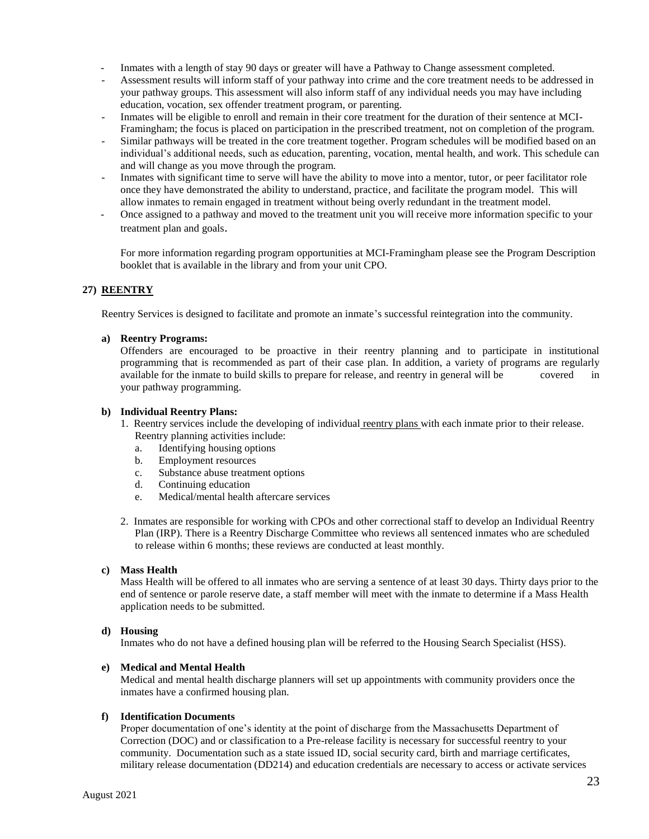- Inmates with a length of stay 90 days or greater will have a Pathway to Change assessment completed.
- Assessment results will inform staff of your pathway into crime and the core treatment needs to be addressed in your pathway groups. This assessment will also inform staff of any individual needs you may have including education, vocation, sex offender treatment program, or parenting.
- Inmates will be eligible to enroll and remain in their core treatment for the duration of their sentence at MCI-Framingham; the focus is placed on participation in the prescribed treatment, not on completion of the program.
- Similar pathways will be treated in the core treatment together. Program schedules will be modified based on an individual's additional needs, such as education, parenting, vocation, mental health, and work. This schedule can and will change as you move through the program.
- Inmates with significant time to serve will have the ability to move into a mentor, tutor, or peer facilitator role once they have demonstrated the ability to understand, practice, and facilitate the program model. This will allow inmates to remain engaged in treatment without being overly redundant in the treatment model.
- Once assigned to a pathway and moved to the treatment unit you will receive more information specific to your treatment plan and goals.

For more information regarding program opportunities at MCI-Framingham please see the Program Description booklet that is available in the library and from your unit CPO.

#### **27) REENTRY**

Reentry Services is designed to facilitate and promote an inmate's successful reintegration into the community.

#### **a) Reentry Programs:**

Offenders are encouraged to be proactive in their reentry planning and to participate in institutional programming that is recommended as part of their case plan. In addition, a variety of programs are regularly available for the inmate to build skills to prepare for release, and reentry in general will be covered in your pathway programming.

#### **b) Individual Reentry Plans:**

- 1. Reentry services include the developing of individual reentry plans with each inmate prior to their release. Reentry planning activities include:
	- a. Identifying housing options
	- b. Employment resources
	- c. Substance abuse treatment options
	- d. Continuing education
	- e. Medical/mental health aftercare services
- 2. Inmates are responsible for working with CPOs and other correctional staff to develop an Individual Reentry Plan (IRP). There is a Reentry Discharge Committee who reviews all sentenced inmates who are scheduled to release within 6 months; these reviews are conducted at least monthly.

#### **c) Mass Health**

Mass Health will be offered to all inmates who are serving a sentence of at least 30 days. Thirty days prior to the end of sentence or parole reserve date, a staff member will meet with the inmate to determine if a Mass Health application needs to be submitted.

#### **d) Housing**

Inmates who do not have a defined housing plan will be referred to the Housing Search Specialist (HSS).

#### **e) Medical and Mental Health**

Medical and mental health discharge planners will set up appointments with community providers once the inmates have a confirmed housing plan.

#### **f) Identification Documents**

Proper documentation of one's identity at the point of discharge from the Massachusetts Department of Correction (DOC) and or classification to a Pre-release facility is necessary for successful reentry to your community. Documentation such as a state issued ID, social security card, birth and marriage certificates, military release documentation (DD214) and education credentials are necessary to access or activate services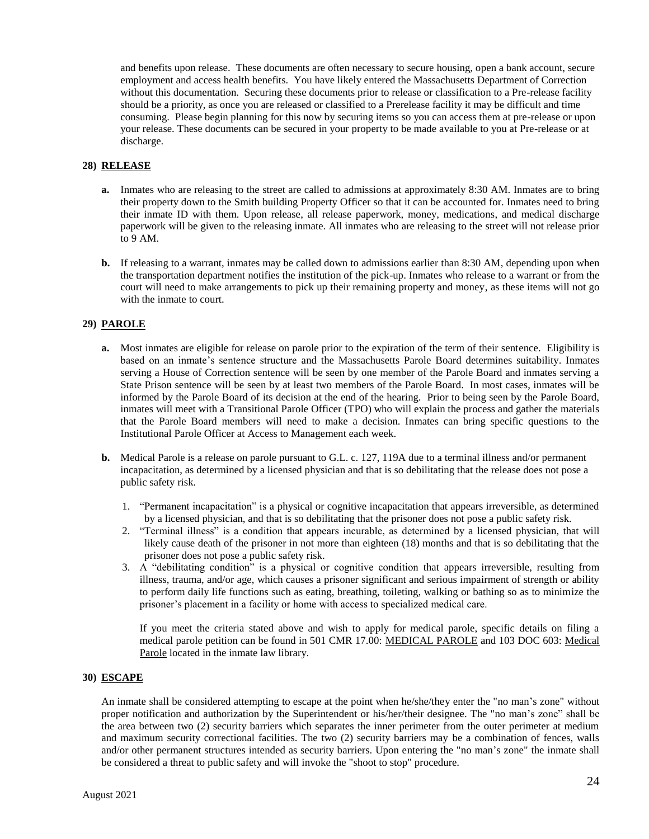and benefits upon release. These documents are often necessary to secure housing, open a bank account, secure employment and access health benefits. You have likely entered the Massachusetts Department of Correction without this documentation. Securing these documents prior to release or classification to a Pre-release facility should be a priority, as once you are released or classified to a Prerelease facility it may be difficult and time consuming. Please begin planning for this now by securing items so you can access them at pre-release or upon your release. These documents can be secured in your property to be made available to you at Pre-release or at discharge.

#### **28) RELEASE**

- **a.** Inmates who are releasing to the street are called to admissions at approximately 8:30 AM. Inmates are to bring their property down to the Smith building Property Officer so that it can be accounted for. Inmates need to bring their inmate ID with them. Upon release, all release paperwork, money, medications, and medical discharge paperwork will be given to the releasing inmate. All inmates who are releasing to the street will not release prior to 9 AM.
- **b.** If releasing to a warrant, inmates may be called down to admissions earlier than 8:30 AM, depending upon when the transportation department notifies the institution of the pick-up. Inmates who release to a warrant or from the court will need to make arrangements to pick up their remaining property and money, as these items will not go with the inmate to court.

#### **29) PAROLE**

- **a.** Most inmates are eligible for release on parole prior to the expiration of the term of their sentence. Eligibility is based on an inmate's sentence structure and the Massachusetts Parole Board determines suitability. Inmates serving a House of Correction sentence will be seen by one member of the Parole Board and inmates serving a State Prison sentence will be seen by at least two members of the Parole Board. In most cases, inmates will be informed by the Parole Board of its decision at the end of the hearing. Prior to being seen by the Parole Board, inmates will meet with a Transitional Parole Officer (TPO) who will explain the process and gather the materials that the Parole Board members will need to make a decision. Inmates can bring specific questions to the Institutional Parole Officer at Access to Management each week.
- **b.** Medical Parole is a release on parole pursuant to G.L. c. 127, 119A due to a terminal illness and/or permanent incapacitation, as determined by a licensed physician and that is so debilitating that the release does not pose a public safety risk.
	- 1. "Permanent incapacitation" is a physical or cognitive incapacitation that appears irreversible, as determined by a licensed physician, and that is so debilitating that the prisoner does not pose a public safety risk.
	- 2. "Terminal illness" is a condition that appears incurable, as determined by a licensed physician, that will likely cause death of the prisoner in not more than eighteen (18) months and that is so debilitating that the prisoner does not pose a public safety risk.
	- 3. A "debilitating condition" is a physical or cognitive condition that appears irreversible, resulting from illness, trauma, and/or age, which causes a prisoner significant and serious impairment of strength or ability to perform daily life functions such as eating, breathing, toileting, walking or bathing so as to minimize the prisoner's placement in a facility or home with access to specialized medical care.

If you meet the criteria stated above and wish to apply for medical parole, specific details on filing a medical parole petition can be found in 501 CMR 17.00: MEDICAL PAROLE and 103 DOC 603: Medical Parole located in the inmate law library.

#### **30) ESCAPE**

An inmate shall be considered attempting to escape at the point when he/she/they enter the "no man's zone" without proper notification and authorization by the Superintendent or his/her/their designee. The "no man's zone" shall be the area between two (2) security barriers which separates the inner perimeter from the outer perimeter at medium and maximum security correctional facilities. The two (2) security barriers may be a combination of fences, walls and/or other permanent structures intended as security barriers. Upon entering the "no man's zone" the inmate shall be considered a threat to public safety and will invoke the "shoot to stop" procedure.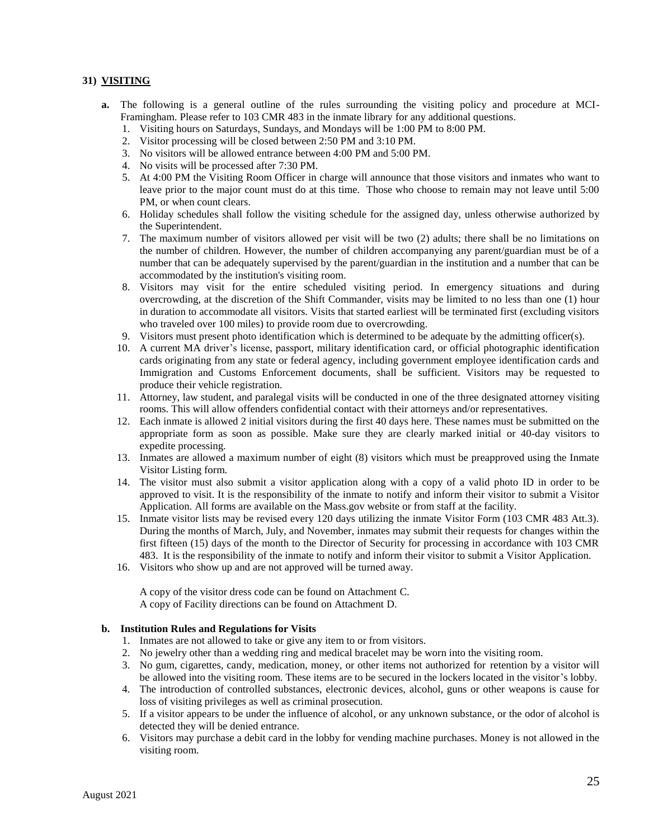#### **31) VISITING**

- **a.** The following is a general outline of the rules surrounding the visiting policy and procedure at MCI-Framingham. Please refer to 103 CMR 483 in the inmate library for any additional questions.
	- 1. Visiting hours on Saturdays, Sundays, and Mondays will be 1:00 PM to 8:00 PM.<br>2. Visitor processing will be closed between 2:50 PM and 3:10 PM.
	- 2. Visitor processing will be closed between 2:50 PM and 3:10 PM.
	- 3. No visitors will be allowed entrance between 4:00 PM and 5:00 PM.
	- 4. No visits will be processed after 7:30 PM.
	- 5. At 4:00 PM the Visiting Room Officer in charge will announce that those visitors and inmates who want to leave prior to the major count must do at this time. Those who choose to remain may not leave until 5:00 PM, or when count clears.
	- 6. Holiday schedules shall follow the visiting schedule for the assigned day, unless otherwise authorized by the Superintendent.
	- 7. The maximum number of visitors allowed per visit will be two (2) adults; there shall be no limitations on the number of children. However, the number of children accompanying any parent/guardian must be of a number that can be adequately supervised by the parent/guardian in the institution and a number that can be accommodated by the institution's visiting room.
	- 8. Visitors may visit for the entire scheduled visiting period. In emergency situations and during overcrowding, at the discretion of the Shift Commander, visits may be limited to no less than one (1) hour in duration to accommodate all visitors. Visits that started earliest will be terminated first (excluding visitors who traveled over 100 miles) to provide room due to overcrowding.
	- 9. Visitors must present photo identification which is determined to be adequate by the admitting officer(s).
	- 10. A current MA driver's license, passport, military identification card, or official photographic identification cards originating from any state or federal agency, including government employee identification cards and Immigration and Customs Enforcement documents, shall be sufficient. Visitors may be requested to produce their vehicle registration.
	- 11. Attorney, law student, and paralegal visits will be conducted in one of the three designated attorney visiting rooms. This will allow offenders confidential contact with their attorneys and/or representatives.
	- 12. Each inmate is allowed 2 initial visitors during the first 40 days here. These names must be submitted on the appropriate form as soon as possible. Make sure they are clearly marked initial or 40-day visitors to expedite processing.
	- 13. Inmates are allowed a maximum number of eight (8) visitors which must be preapproved using the Inmate Visitor Listing form.
	- 14. The visitor must also submit a visitor application along with a copy of a valid photo ID in order to be approved to visit. It is the responsibility of the inmate to notify and inform their visitor to submit a Visitor Application. All forms are available on the Mass.gov website or from staff at the facility.
	- 15. Inmate visitor lists may be revised every 120 days utilizing the inmate Visitor Form (103 CMR 483 Att.3). During the months of March, July, and November, inmates may submit their requests for changes within the first fifteen (15) days of the month to the Director of Security for processing in accordance with 103 CMR 483. It is the responsibility of the inmate to notify and inform their visitor to submit a Visitor Application.
	- 16. Visitors who show up and are not approved will be turned away.

A copy of the visitor dress code can be found on Attachment C. A copy of Facility directions can be found on Attachment D.

#### **b. Institution Rules and Regulations for Visits**

- 1. Inmates are not allowed to take or give any item to or from visitors.
- 2. No jewelry other than a wedding ring and medical bracelet may be worn into the visiting room.
- 3. No gum, cigarettes, candy, medication, money, or other items not authorized for retention by a visitor will be allowed into the visiting room. These items are to be secured in the lockers located in the visitor's lobby.
- 4. The introduction of controlled substances, electronic devices, alcohol, guns or other weapons is cause for loss of visiting privileges as well as criminal prosecution.
- 5. If a visitor appears to be under the influence of alcohol, or any unknown substance, or the odor of alcohol is detected they will be denied entrance.
- 6. Visitors may purchase a debit card in the lobby for vending machine purchases. Money is not allowed in the visiting room.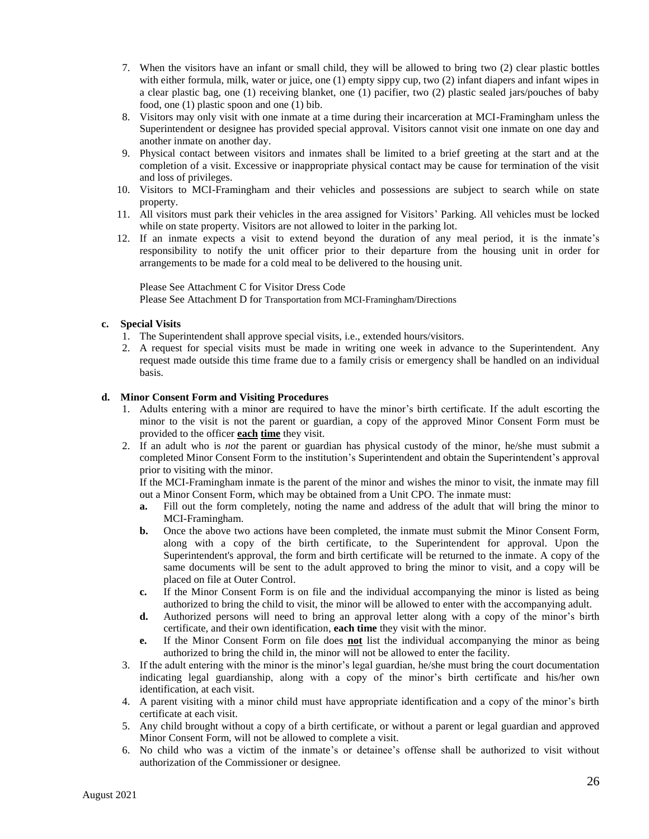- 7. When the visitors have an infant or small child, they will be allowed to bring two (2) clear plastic bottles with either formula, milk, water or juice, one (1) empty sippy cup, two (2) infant diapers and infant wipes in a clear plastic bag, one (1) receiving blanket, one (1) pacifier, two (2) plastic sealed jars/pouches of baby food, one (1) plastic spoon and one (1) bib.
- 8. Visitors may only visit with one inmate at a time during their incarceration at MCI-Framingham unless the Superintendent or designee has provided special approval. Visitors cannot visit one inmate on one day and another inmate on another day.
- 9. Physical contact between visitors and inmates shall be limited to a brief greeting at the start and at the completion of a visit. Excessive or inappropriate physical contact may be cause for termination of the visit and loss of privileges.
- 10. Visitors to MCI-Framingham and their vehicles and possessions are subject to search while on state property.
- 11. All visitors must park their vehicles in the area assigned for Visitors' Parking. All vehicles must be locked while on state property. Visitors are not allowed to loiter in the parking lot.
- 12. If an inmate expects a visit to extend beyond the duration of any meal period, it is the inmate's responsibility to notify the unit officer prior to their departure from the housing unit in order for arrangements to be made for a cold meal to be delivered to the housing unit.

Please See Attachment C for Visitor Dress Code Please See Attachment D for Transportation from MCI-Framingham/Directions

#### **c. Special Visits**

- 1. The Superintendent shall approve special visits, i.e., extended hours/visitors.
- 2. A request for special visits must be made in writing one week in advance to the Superintendent. Any request made outside this time frame due to a family crisis or emergency shall be handled on an individual basis.

#### **d. Minor Consent Form and Visiting Procedures**

- 1. Adults entering with a minor are required to have the minor's birth certificate. If the adult escorting the minor to the visit is not the parent or guardian, a copy of the approved Minor Consent Form must be provided to the officer **each time** they visit.
- 2. If an adult who is *not* the parent or guardian has physical custody of the minor, he/she must submit a completed Minor Consent Form to the institution's Superintendent and obtain the Superintendent's approval prior to visiting with the minor.

If the MCI-Framingham inmate is the parent of the minor and wishes the minor to visit, the inmate may fill out a Minor Consent Form, which may be obtained from a Unit CPO. The inmate must:

- **a.** Fill out the form completely, noting the name and address of the adult that will bring the minor to MCI-Framingham.
- **b.** Once the above two actions have been completed, the inmate must submit the Minor Consent Form, along with a copy of the birth certificate, to the Superintendent for approval. Upon the Superintendent's approval, the form and birth certificate will be returned to the inmate. A copy of the same documents will be sent to the adult approved to bring the minor to visit, and a copy will be placed on file at Outer Control.
- **c.** If the Minor Consent Form is on file and the individual accompanying the minor is listed as being authorized to bring the child to visit, the minor will be allowed to enter with the accompanying adult.
- **d.** Authorized persons will need to bring an approval letter along with a copy of the minor's birth certificate, and their own identification, **each time** they visit with the minor.
- **e.** If the Minor Consent Form on file does **not** list the individual accompanying the minor as being authorized to bring the child in, the minor will not be allowed to enter the facility.
- 3. If the adult entering with the minor is the minor's legal guardian, he/she must bring the court documentation indicating legal guardianship, along with a copy of the minor's birth certificate and his/her own identification, at each visit.
- 4. A parent visiting with a minor child must have appropriate identification and a copy of the minor's birth certificate at each visit.
- 5. Any child brought without a copy of a birth certificate, or without a parent or legal guardian and approved Minor Consent Form, will not be allowed to complete a visit.
- 6. No child who was a victim of the inmate's or detainee's offense shall be authorized to visit without authorization of the Commissioner or designee.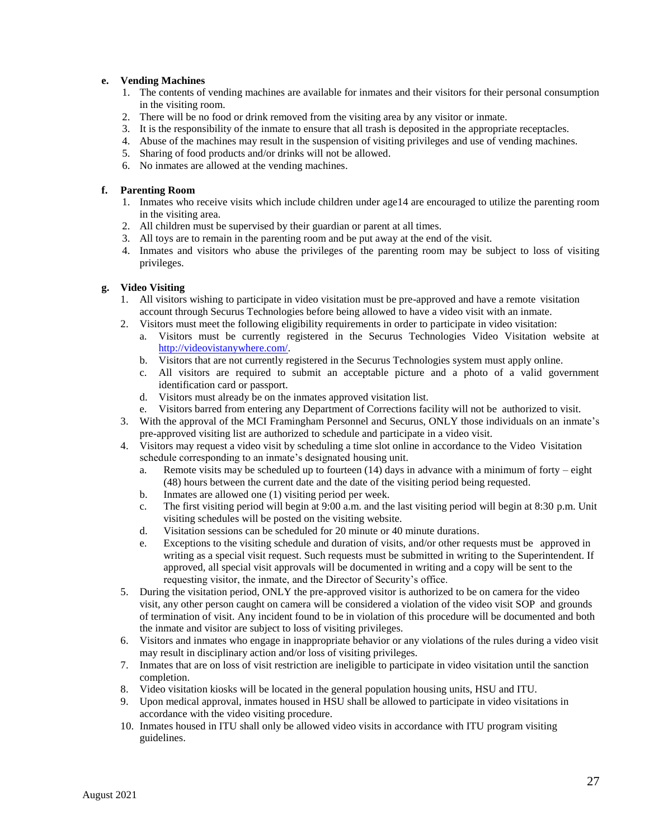#### **e. Vending Machines**

- 1. The contents of vending machines are available for inmates and their visitors for their personal consumption in the visiting room.
- 2. There will be no food or drink removed from the visiting area by any visitor or inmate.
- 3. It is the responsibility of the inmate to ensure that all trash is deposited in the appropriate receptacles.
- 4. Abuse of the machines may result in the suspension of visiting privileges and use of vending machines.
- 5. Sharing of food products and/or drinks will not be allowed.
- 6. No inmates are allowed at the vending machines.

#### **f. Parenting Room**

- 1. Inmates who receive visits which include children under age14 are encouraged to utilize the parenting room in the visiting area.
- 2. All children must be supervised by their guardian or parent at all times.
- 3. All toys are to remain in the parenting room and be put away at the end of the visit.
- 4. Inmates and visitors who abuse the privileges of the parenting room may be subject to loss of visiting privileges.

#### **g. Video Visiting**

- 1. All visitors wishing to participate in video visitation must be pre-approved and have a remote visitation account through Securus Technologies before being allowed to have a video visit with an inmate.
- 2. Visitors must meet the following eligibility requirements in order to participate in video visitation:
	- a. Visitors must be currently registered in the Securus Technologies Video Visitation website at [http://videovistanywhere.com/.](http://videovistanywhere.com/)
	- b. Visitors that are not currently registered in the Securus Technologies system must apply online.
	- c. All visitors are required to submit an acceptable picture and a photo of a valid government identification card or passport.
	- d. Visitors must already be on the inmates approved visitation list.
	- e. Visitors barred from entering any Department of Corrections facility will not be authorized to visit.
- 3. With the approval of the MCI Framingham Personnel and Securus, ONLY those individuals on an inmate's pre-approved visiting list are authorized to schedule and participate in a video visit.
- 4. Visitors may request a video visit by scheduling a time slot online in accordance to the Video Visitation schedule corresponding to an inmate's designated housing unit.
	- a. Remote visits may be scheduled up to fourteen  $(14)$  days in advance with a minimum of forty eight (48) hours between the current date and the date of the visiting period being requested.
	- b. Inmates are allowed one (1) visiting period per week.
	- c. The first visiting period will begin at 9:00 a.m. and the last visiting period will begin at 8:30 p.m. Unit visiting schedules will be posted on the visiting website.
	- d. Visitation sessions can be scheduled for 20 minute or 40 minute durations.
	- e. Exceptions to the visiting schedule and duration of visits, and/or other requests must be approved in writing as a special visit request. Such requests must be submitted in writing to the Superintendent. If approved, all special visit approvals will be documented in writing and a copy will be sent to the requesting visitor, the inmate, and the Director of Security's office.
- 5. During the visitation period, ONLY the pre-approved visitor is authorized to be on camera for the video visit, any other person caught on camera will be considered a violation of the video visit SOP and grounds of termination of visit. Any incident found to be in violation of this procedure will be documented and both the inmate and visitor are subject to loss of visiting privileges.
- 6. Visitors and inmates who engage in inappropriate behavior or any violations of the rules during a video visit may result in disciplinary action and/or loss of visiting privileges.
- 7. Inmates that are on loss of visit restriction are ineligible to participate in video visitation until the sanction completion.
- 8. Video visitation kiosks will be located in the general population housing units, HSU and ITU.
- 9. Upon medical approval, inmates housed in HSU shall be allowed to participate in video visitations in accordance with the video visiting procedure.
- 10. Inmates housed in ITU shall only be allowed video visits in accordance with ITU program visiting guidelines.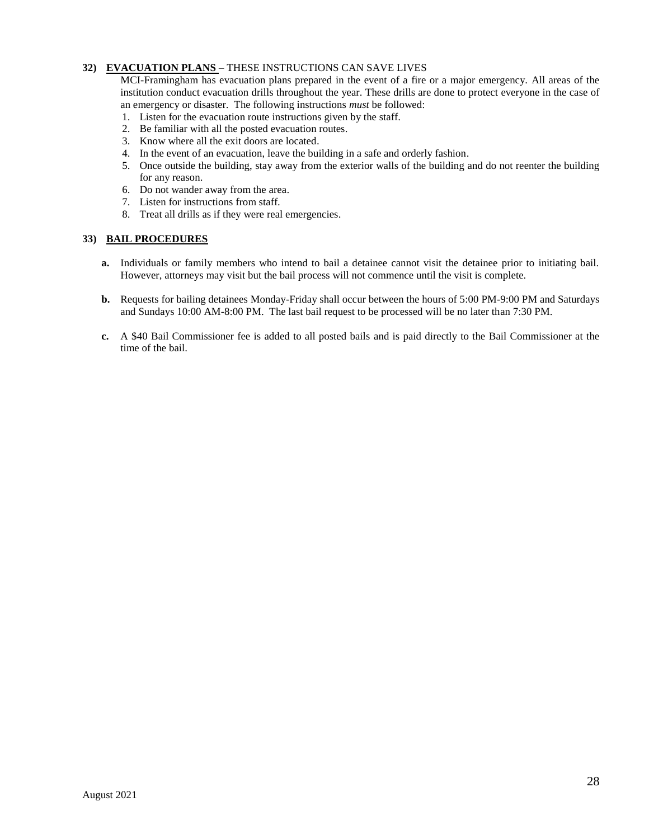#### **32) EVACUATION PLANS** – THESE INSTRUCTIONS CAN SAVE LIVES

MCI-Framingham has evacuation plans prepared in the event of a fire or a major emergency. All areas of the institution conduct evacuation drills throughout the year. These drills are done to protect everyone in the case of an emergency or disaster. The following instructions *must* be followed:

- 1. Listen for the evacuation route instructions given by the staff.
- 2. Be familiar with all the posted evacuation routes.
- 3. Know where all the exit doors are located.
- 4. In the event of an evacuation, leave the building in a safe and orderly fashion.
- 5. Once outside the building, stay away from the exterior walls of the building and do not reenter the building for any reason.
- 6. Do not wander away from the area.
- 7. Listen for instructions from staff.
- 8. Treat all drills as if they were real emergencies.

#### **33) BAIL PROCEDURES**

- **a.** Individuals or family members who intend to bail a detainee cannot visit the detainee prior to initiating bail. However, attorneys may visit but the bail process will not commence until the visit is complete.
- **b.** Requests for bailing detainees Monday-Friday shall occur between the hours of 5:00 PM-9:00 PM and Saturdays and Sundays 10:00 AM-8:00 PM. The last bail request to be processed will be no later than 7:30 PM.
- **c.** A \$40 Bail Commissioner fee is added to all posted bails and is paid directly to the Bail Commissioner at the time of the bail.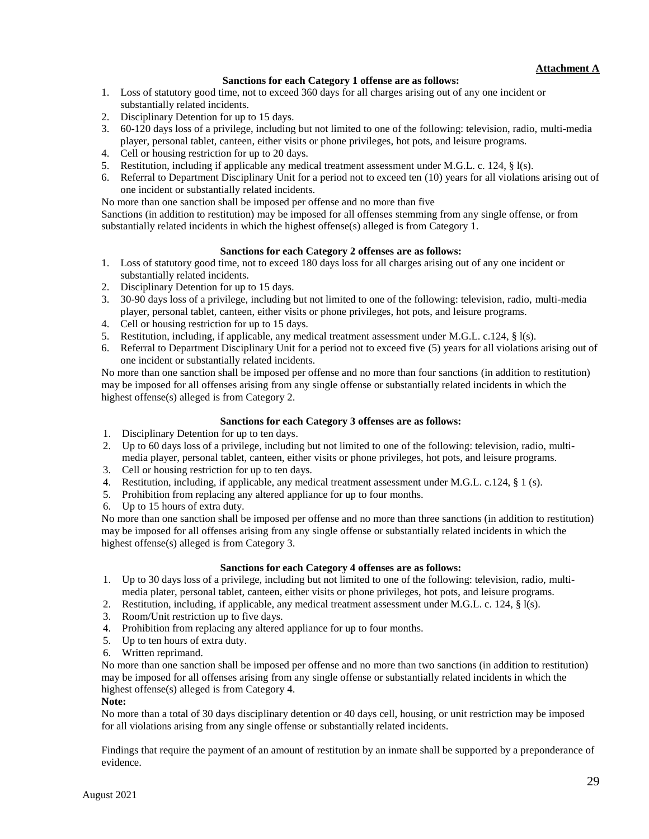#### **Sanctions for each Category 1 offense are as follows:**

- 1. Loss of statutory good time, not to exceed 360 days for all charges arising out of any one incident or substantially related incidents.
- 2. Disciplinary Detention for up to 15 days.
- 3. 60-120 days loss of a privilege, including but not limited to one of the following: television, radio, multi-media player, personal tablet, canteen, either visits or phone privileges, hot pots, and leisure programs.
- 4. Cell or housing restriction for up to 20 days.
- 5. Restitution, including if applicable any medical treatment assessment under M.G.L. c. 124, § l(s).
- 6. Referral to Department Disciplinary Unit for a period not to exceed ten (10) years for all violations arising out of one incident or substantially related incidents.

No more than one sanction shall be imposed per offense and no more than five

Sanctions (in addition to restitution) may be imposed for all offenses stemming from any single offense, or from substantially related incidents in which the highest offense(s) alleged is from Category 1.

#### **Sanctions for each Category 2 offenses are as follows:**

- 1. Loss of statutory good time, not to exceed 180 days loss for all charges arising out of any one incident or substantially related incidents.
- 2. Disciplinary Detention for up to 15 days.
- 3. 30-90 days loss of a privilege, including but not limited to one of the following: television, radio, multi-media player, personal tablet, canteen, either visits or phone privileges, hot pots, and leisure programs.
- 4. Cell or housing restriction for up to 15 days.
- 5. Restitution, including, if applicable, any medical treatment assessment under M.G.L. c.124, § l(s).
- 6. Referral to Department Disciplinary Unit for a period not to exceed five (5) years for all violations arising out of one incident or substantially related incidents.

No more than one sanction shall be imposed per offense and no more than four sanctions (in addition to restitution) may be imposed for all offenses arising from any single offense or substantially related incidents in which the highest offense(s) alleged is from Category 2.

#### **Sanctions for each Category 3 offenses are as follows:**

- 1. Disciplinary Detention for up to ten days.
- 2. Up to 60 days loss of a privilege, including but not limited to one of the following: television, radio, multimedia player, personal tablet, canteen, either visits or phone privileges, hot pots, and leisure programs.
- 3. Cell or housing restriction for up to ten days.
- 4. Restitution, including, if applicable, any medical treatment assessment under M.G.L. c.124, § 1 (s).
- 5. Prohibition from replacing any altered appliance for up to four months.
- 6. Up to 15 hours of extra duty.

No more than one sanction shall be imposed per offense and no more than three sanctions (in addition to restitution) may be imposed for all offenses arising from any single offense or substantially related incidents in which the highest offense(s) alleged is from Category 3.

#### **Sanctions for each Category 4 offenses are as follows:**

- 1. Up to 30 days loss of a privilege, including but not limited to one of the following: television, radio, multimedia plater, personal tablet, canteen, either visits or phone privileges, hot pots, and leisure programs.
- 2. Restitution, including, if applicable, any medical treatment assessment under M.G.L. c. 124, § l(s).
- 3. Room/Unit restriction up to five days.
- 4. Prohibition from replacing any altered appliance for up to four months.
- 5. Up to ten hours of extra duty.
- 6. Written reprimand.

No more than one sanction shall be imposed per offense and no more than two sanctions (in addition to restitution) may be imposed for all offenses arising from any single offense or substantially related incidents in which the highest offense(s) alleged is from Category 4.

#### **Note:**

No more than a total of 30 days disciplinary detention or 40 days cell, housing, or unit restriction may be imposed for all violations arising from any single offense or substantially related incidents.

Findings that require the payment of an amount of restitution by an inmate shall be supported by a preponderance of evidence.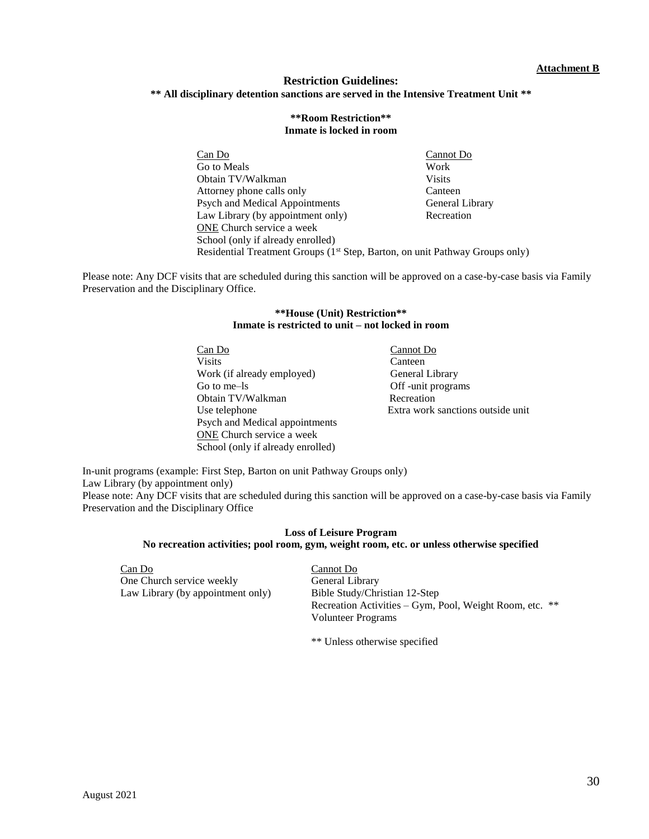#### **Restriction Guidelines: \*\* All disciplinary detention sanctions are served in the Intensive Treatment Unit \*\***

#### **\*\*Room Restriction\*\* Inmate is locked in room**

Can Do Cannot Do Go to Meals Work Obtain TV/Walkman Visits Attorney phone calls only Canteen Psych and Medical Appointments General Library Law Library (by appointment only) Recreation ONE Church service a week School (only if already enrolled) Residential Treatment Groups (1<sup>st</sup> Step, Barton, on unit Pathway Groups only)

Please note: Any DCF visits that are scheduled during this sanction will be approved on a case-by-case basis via Family Preservation and the Disciplinary Office.

#### **\*\*House (Unit) Restriction\*\* Inmate is restricted to unit – not locked in room**

Can Do Cannot Do Visits Canteen Work (if already employed) General Library Go to me–ls **Company** Off -unit programs Obtain TV/Walkman Recreation Psych and Medical appointments ONE Church service a week School (only if already enrolled)

Use telephone Extra work sanctions outside unit

In-unit programs (example: First Step, Barton on unit Pathway Groups only) Law Library (by appointment only) Please note: Any DCF visits that are scheduled during this sanction will be approved on a case-by-case basis via Family Preservation and the Disciplinary Office

#### **Loss of Leisure Program No recreation activities; pool room, gym, weight room, etc. or unless otherwise specified**

Can Do Cannot Do One Church service weekly General Library Law Library (by appointment only) Bible Study/Christian 12-Step

Recreation Activities – Gym, Pool, Weight Room, etc. \*\* Volunteer Programs

\*\* Unless otherwise specified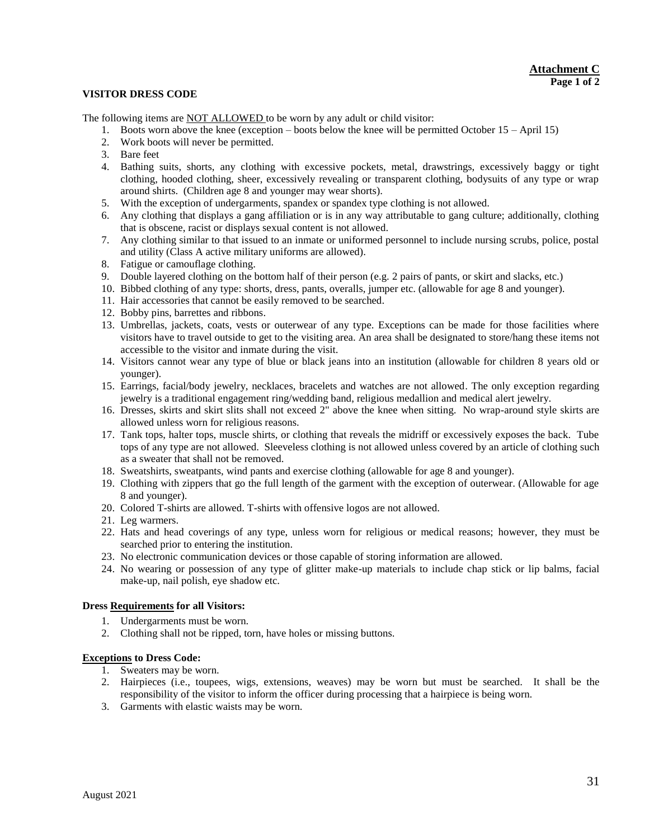#### **VISITOR DRESS CODE**

The following items are NOT ALLOWED to be worn by any adult or child visitor:

- 1. Boots worn above the knee (exception boots below the knee will be permitted October 15 April 15)
- 2. Work boots will never be permitted.
- 3. Bare feet
- 4. Bathing suits, shorts, any clothing with excessive pockets, metal, drawstrings, excessively baggy or tight clothing, hooded clothing, sheer, excessively revealing or transparent clothing, bodysuits of any type or wrap around shirts. (Children age 8 and younger may wear shorts).
- 5. With the exception of undergarments, spandex or spandex type clothing is not allowed.
- 6. Any clothing that displays a gang affiliation or is in any way attributable to gang culture; additionally, clothing that is obscene, racist or displays sexual content is not allowed.
- 7. Any clothing similar to that issued to an inmate or uniformed personnel to include nursing scrubs, police, postal and utility (Class A active military uniforms are allowed).
- 8. Fatigue or camouflage clothing.
- 9. Double layered clothing on the bottom half of their person (e.g. 2 pairs of pants, or skirt and slacks, etc.)
- 10. Bibbed clothing of any type: shorts, dress, pants, overalls, jumper etc. (allowable for age 8 and younger).
- 11. Hair accessories that cannot be easily removed to be searched.
- 12. Bobby pins, barrettes and ribbons.
- 13. Umbrellas, jackets, coats, vests or outerwear of any type. Exceptions can be made for those facilities where visitors have to travel outside to get to the visiting area. An area shall be designated to store/hang these items not accessible to the visitor and inmate during the visit.
- 14. Visitors cannot wear any type of blue or black jeans into an institution (allowable for children 8 years old or younger).
- 15. Earrings, facial/body jewelry, necklaces, bracelets and watches are not allowed. The only exception regarding jewelry is a traditional engagement ring/wedding band, religious medallion and medical alert jewelry.
- 16. Dresses, skirts and skirt slits shall not exceed 2" above the knee when sitting. No wrap-around style skirts are allowed unless worn for religious reasons.
- 17. Tank tops, halter tops, muscle shirts, or clothing that reveals the midriff or excessively exposes the back. Tube tops of any type are not allowed. Sleeveless clothing is not allowed unless covered by an article of clothing such as a sweater that shall not be removed.
- 18. Sweatshirts, sweatpants, wind pants and exercise clothing (allowable for age 8 and younger).
- 19. Clothing with zippers that go the full length of the garment with the exception of outerwear. (Allowable for age 8 and younger).
- 20. Colored T-shirts are allowed. T-shirts with offensive logos are not allowed.
- 21. Leg warmers.
- 22. Hats and head coverings of any type, unless worn for religious or medical reasons; however, they must be searched prior to entering the institution.
- 23. No electronic communication devices or those capable of storing information are allowed.
- 24. No wearing or possession of any type of glitter make-up materials to include chap stick or lip balms, facial make-up, nail polish, eye shadow etc.

#### **Dress Requirements for all Visitors:**

- 1. Undergarments must be worn.
- 2. Clothing shall not be ripped, torn, have holes or missing buttons.

#### **Exceptions to Dress Code:**

- 1. Sweaters may be worn.
- 2. Hairpieces (i.e., toupees, wigs, extensions, weaves) may be worn but must be searched. It shall be the responsibility of the visitor to inform the officer during processing that a hairpiece is being worn.
- 3. Garments with elastic waists may be worn.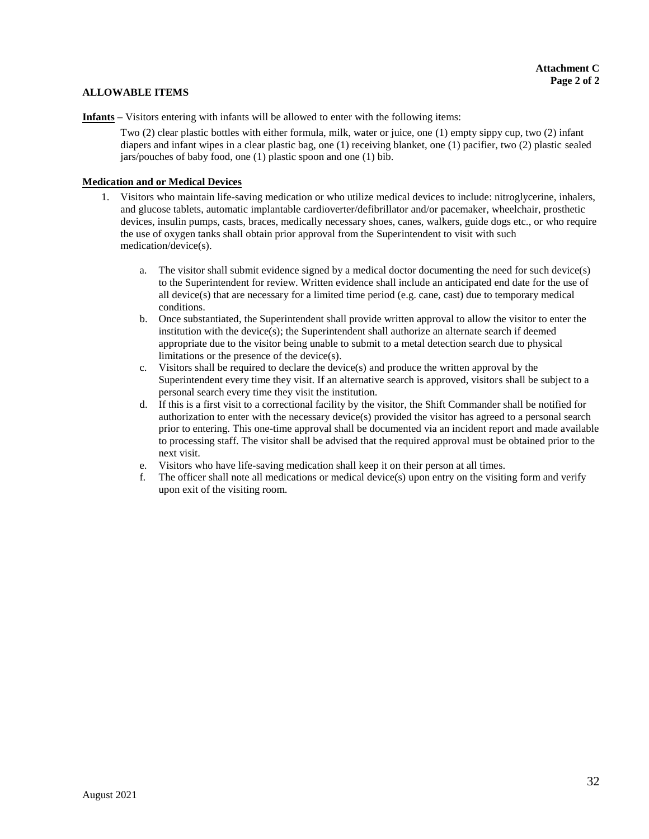#### **ALLOWABLE ITEMS**

**Infants –** Visitors entering with infants will be allowed to enter with the following items:

Two (2) clear plastic bottles with either formula, milk, water or juice, one (1) empty sippy cup, two (2) infant diapers and infant wipes in a clear plastic bag, one (1) receiving blanket, one (1) pacifier, two (2) plastic sealed jars/pouches of baby food, one (1) plastic spoon and one (1) bib.

#### **Medication and or Medical Devices**

- 1. Visitors who maintain life-saving medication or who utilize medical devices to include: nitroglycerine, inhalers, and glucose tablets, automatic implantable cardioverter/defibrillator and/or pacemaker, wheelchair, prosthetic devices, insulin pumps, casts, braces, medically necessary shoes, canes, walkers, guide dogs etc., or who require the use of oxygen tanks shall obtain prior approval from the Superintendent to visit with such medication/device(s).
	- a. The visitor shall submit evidence signed by a medical doctor documenting the need for such device(s) to the Superintendent for review. Written evidence shall include an anticipated end date for the use of all device(s) that are necessary for a limited time period (e.g. cane, cast) due to temporary medical conditions.
	- b. Once substantiated, the Superintendent shall provide written approval to allow the visitor to enter the institution with the device $(s)$ ; the Superintendent shall authorize an alternate search if deemed appropriate due to the visitor being unable to submit to a metal detection search due to physical limitations or the presence of the device(s).
	- c. Visitors shall be required to declare the device(s) and produce the written approval by the Superintendent every time they visit. If an alternative search is approved, visitors shall be subject to a personal search every time they visit the institution.
	- d. If this is a first visit to a correctional facility by the visitor, the Shift Commander shall be notified for authorization to enter with the necessary device(s) provided the visitor has agreed to a personal search prior to entering. This one-time approval shall be documented via an incident report and made available to processing staff. The visitor shall be advised that the required approval must be obtained prior to the next visit.
	- e. Visitors who have life-saving medication shall keep it on their person at all times.
	- f. The officer shall note all medications or medical device(s) upon entry on the visiting form and verify upon exit of the visiting room.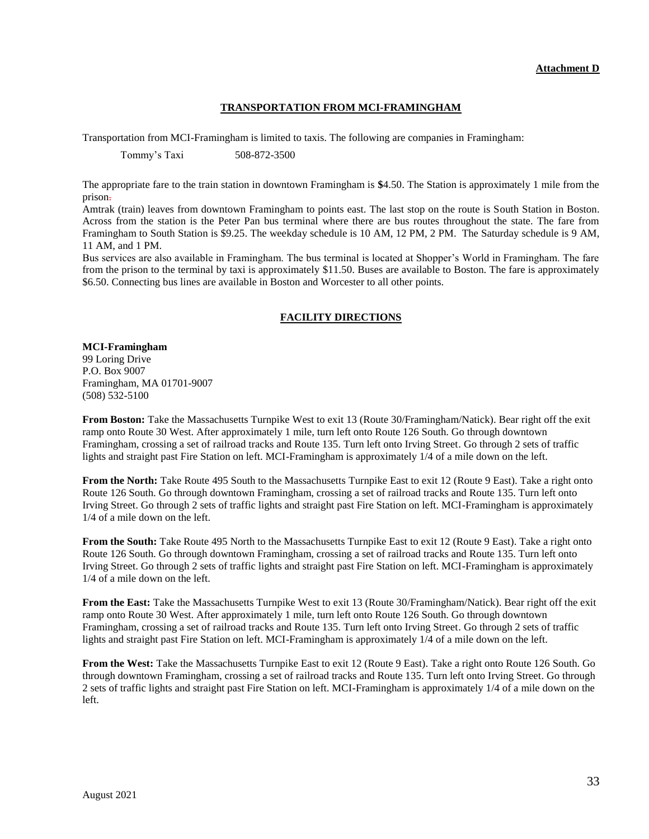#### **TRANSPORTATION FROM MCI-FRAMINGHAM**

Transportation from MCI-Framingham is limited to taxis. The following are companies in Framingham:

Tommy's Taxi 508-872-3500

The appropriate fare to the train station in downtown Framingham is **\$**4.50. The Station is approximately 1 mile from the prison.

Amtrak (train) leaves from downtown Framingham to points east. The last stop on the route is South Station in Boston. Across from the station is the Peter Pan bus terminal where there are bus routes throughout the state. The fare from Framingham to South Station is \$9.25. The weekday schedule is 10 AM, 12 PM, 2 PM. The Saturday schedule is 9 AM, 11 AM, and 1 PM.

Bus services are also available in Framingham. The bus terminal is located at Shopper's World in Framingham. The fare from the prison to the terminal by taxi is approximately \$11.50. Buses are available to Boston. The fare is approximately \$6.50. Connecting bus lines are available in Boston and Worcester to all other points.

#### **FACILITY DIRECTIONS**

#### **MCI-Framingham**

99 Loring Drive P.O. Box 9007 Framingham, MA 01701-9007 (508) 532-5100

**From Boston:** Take the Massachusetts Turnpike West to exit 13 (Route 30/Framingham/Natick). Bear right off the exit ramp onto Route 30 West. After approximately 1 mile, turn left onto Route 126 South. Go through downtown Framingham, crossing a set of railroad tracks and Route 135. Turn left onto Irving Street. Go through 2 sets of traffic lights and straight past Fire Station on left. MCI-Framingham is approximately 1/4 of a mile down on the left.

**From the North:** Take Route 495 South to the Massachusetts Turnpike East to exit 12 (Route 9 East). Take a right onto Route 126 South. Go through downtown Framingham, crossing a set of railroad tracks and Route 135. Turn left onto Irving Street. Go through 2 sets of traffic lights and straight past Fire Station on left. MCI-Framingham is approximately 1/4 of a mile down on the left.

**From the South:** Take Route 495 North to the Massachusetts Turnpike East to exit 12 (Route 9 East). Take a right onto Route 126 South. Go through downtown Framingham, crossing a set of railroad tracks and Route 135. Turn left onto Irving Street. Go through 2 sets of traffic lights and straight past Fire Station on left. MCI-Framingham is approximately 1/4 of a mile down on the left.

**From the East:** Take the Massachusetts Turnpike West to exit 13 (Route 30/Framingham/Natick). Bear right off the exit ramp onto Route 30 West. After approximately 1 mile, turn left onto Route 126 South. Go through downtown Framingham, crossing a set of railroad tracks and Route 135. Turn left onto Irving Street. Go through 2 sets of traffic lights and straight past Fire Station on left. MCI-Framingham is approximately 1/4 of a mile down on the left.

**From the West:** Take the Massachusetts Turnpike East to exit 12 (Route 9 East). Take a right onto Route 126 South. Go through downtown Framingham, crossing a set of railroad tracks and Route 135. Turn left onto Irving Street. Go through 2 sets of traffic lights and straight past Fire Station on left. MCI-Framingham is approximately 1/4 of a mile down on the left.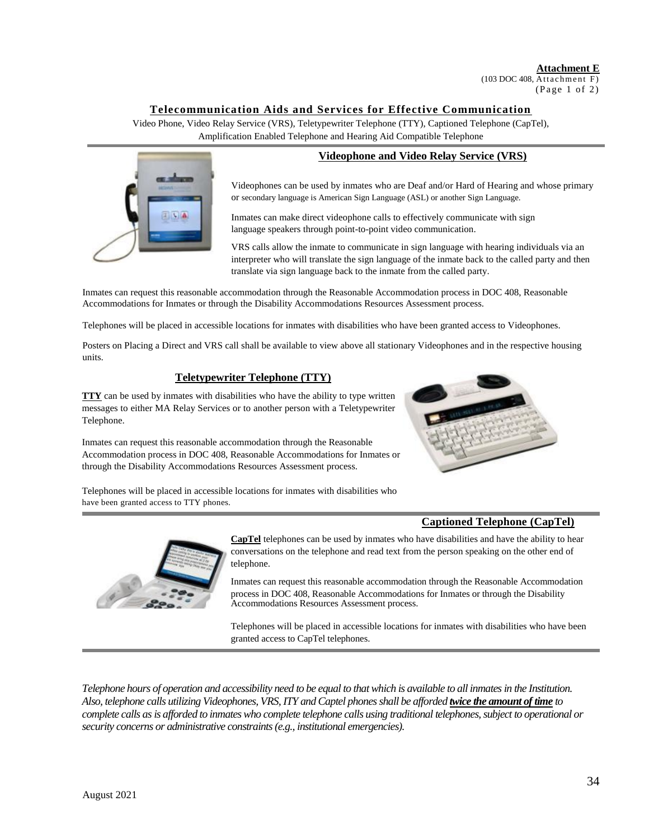**Attachment E**   $(103 \text{ DOC } 408, \overline{\text{Attachment F}})$ 

 $(Page 1 of 2)$ 

### **Telecommunication Aids and Services for Effective Communication**

Video Phone, Video Relay Service (VRS), Teletypewriter Telephone (TTY), Captioned Telephone (CapTel), Amplification Enabled Telephone and Hearing Aid Compatible Telephone



#### **Videophone and Video Relay Service (VRS)**

Videophones can be used by inmates who are Deaf and/or Hard of Hearing and whose primary or secondary language is American Sign Language (ASL) or another Sign Language.

Inmates can make direct videophone calls to effectively communicate with sign language speakers through point-to-point video communication.

VRS calls allow the inmate to communicate in sign language with hearing individuals via an interpreter who will translate the sign language of the inmate back to the called party and then translate via sign language back to the inmate from the called party.

Inmates can request this reasonable accommodation through the Reasonable Accommodation process in DOC 408, Reasonable Accommodations for Inmates or through the Disability Accommodations Resources Assessment process.

Telephones will be placed in accessible locations for inmates with disabilities who have been granted access to Videophones.

Posters on Placing a Direct and VRS call shall be available to view above all stationary Videophones and in the respective housing units.

#### **Teletypewriter Telephone (TTY)**

**TTY** can be used by inmates with disabilities who have the ability to type written messages to either MA Relay Services or to another person with a Teletypewriter Telephone.

Inmates can request this reasonable accommodation through the Reasonable Accommodation process in DOC 408, Reasonable Accommodations for Inmates or through the Disability Accommodations Resources Assessment process.



Telephones will be placed in accessible locations for inmates with disabilities who have been granted access to TTY phones.

### **Captioned Telephone (CapTel)**



**CapTel** telephones can be used by inmates who have disabilities and have the ability to hear conversations on the telephone and read text from the person speaking on the other end of telephone.

Inmates can request this reasonable accommodation through the Reasonable Accommodation process in DOC 408, Reasonable Accommodations for Inmates or through the Disability Accommodations Resources Assessment process.

Telephones will be placed in accessible locations for inmates with disabilities who have been granted access to CapTel telephones.

*Telephone hours of operation and accessibility need to be equal to that which is available to all inmates in the Institution. Also, telephone calls utilizing Videophones, VRS, ITY and Captel phones shall be afforded twice the amount of time to complete calls as is afforded to inmates who complete telephone calls using traditional telephones, subject to operational or security concerns or administrative constraints (e.g., institutional emergencies).*